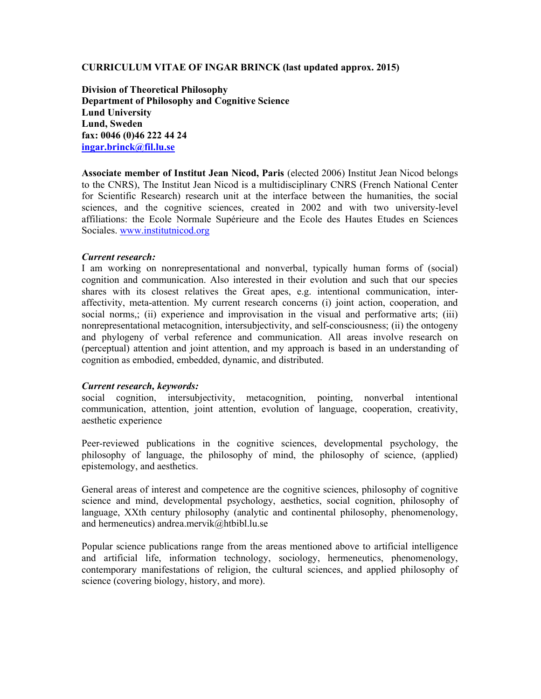## CURRICULUM VITAE OF INGAR BRINCK (last updated approx. 2015)

Division of Theoretical Philosophy Department of Philosophy and Cognitive Science Lund University Lund, Sweden fax: 0046 (0)46 222 44 24 ingar.brinck@fil.lu.se

Associate member of Institut Jean Nicod, Paris (elected 2006) Institut Jean Nicod belongs to the CNRS), The Institut Jean Nicod is a multidisciplinary CNRS (French National Center for Scientific Research) research unit at the interface between the humanities, the social sciences, and the cognitive sciences, created in 2002 and with two university-level affiliations: the Ecole Normale Supérieure and the Ecole des Hautes Etudes en Sciences Sociales. www.institutnicod.org

# Current research:

I am working on nonrepresentational and nonverbal, typically human forms of (social) cognition and communication. Also interested in their evolution and such that our species shares with its closest relatives the Great apes, e.g. intentional communication, interaffectivity, meta-attention. My current research concerns (i) joint action, cooperation, and social norms,; (ii) experience and improvisation in the visual and performative arts; (iii) nonrepresentational metacognition, intersubjectivity, and self-consciousness; (ii) the ontogeny and phylogeny of verbal reference and communication. All areas involve research on (perceptual) attention and joint attention, and my approach is based in an understanding of cognition as embodied, embedded, dynamic, and distributed.

## Current research, keywords:

social cognition, intersubjectivity, metacognition, pointing, nonverbal intentional communication, attention, joint attention, evolution of language, cooperation, creativity, aesthetic experience

Peer-reviewed publications in the cognitive sciences, developmental psychology, the philosophy of language, the philosophy of mind, the philosophy of science, (applied) epistemology, and aesthetics.

General areas of interest and competence are the cognitive sciences, philosophy of cognitive science and mind, developmental psychology, aesthetics, social cognition, philosophy of language, XXth century philosophy (analytic and continental philosophy, phenomenology, and hermeneutics) andrea.mervik@htbibl.lu.se

Popular science publications range from the areas mentioned above to artificial intelligence and artificial life, information technology, sociology, hermeneutics, phenomenology, contemporary manifestations of religion, the cultural sciences, and applied philosophy of science (covering biology, history, and more).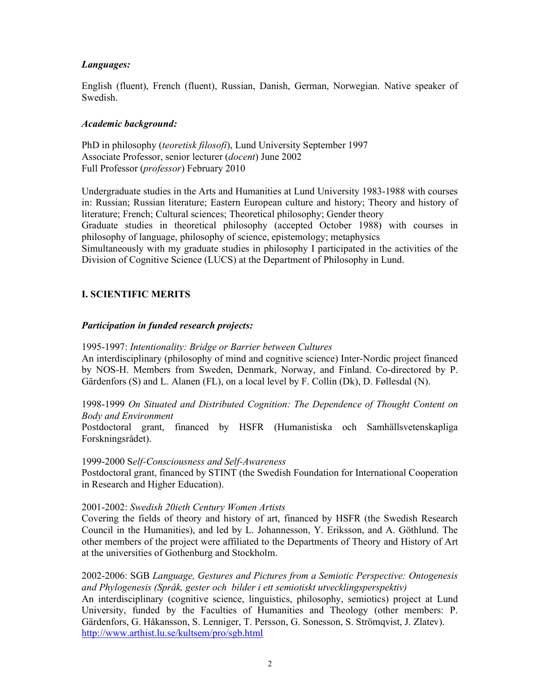# Languages:

English (fluent), French (fluent), Russian, Danish, German, Norwegian. Native speaker of Swedish.

## Academic background:

PhD in philosophy (teoretisk filosofi), Lund University September 1997 Associate Professor, senior lecturer (docent) June 2002 Full Professor (professor) February 2010

Undergraduate studies in the Arts and Humanities at Lund University 1983-1988 with courses in: Russian; Russian literature; Eastern European culture and history; Theory and history of literature; French; Cultural sciences; Theoretical philosophy; Gender theory Graduate studies in theoretical philosophy (accepted October 1988) with courses in philosophy of language, philosophy of science, epistemology; metaphysics

Simultaneously with my graduate studies in philosophy I participated in the activities of the Division of Cognitive Science (LUCS) at the Department of Philosophy in Lund.

# I. SCIENTIFIC MERITS

# Participation in funded research projects:

1995-1997: Intentionality: Bridge or Barrier between Cultures

An interdisciplinary (philosophy of mind and cognitive science) Inter-Nordic project financed by NOS-H. Members from Sweden, Denmark, Norway, and Finland. Co-directored by P. Gärdenfors (S) and L. Alanen (FL), on a local level by F. Collin (Dk), D. Føllesdal (N).

1998-1999 On Situated and Distributed Cognition: The Dependence of Thought Content on Body and Environment

Postdoctoral grant, financed by HSFR (Humanistiska och Samhällsvetenskapliga Forskningsrådet).

## 1999-2000 Self-Consciousness and Self-Awareness

Postdoctoral grant, financed by STINT (the Swedish Foundation for International Cooperation in Research and Higher Education).

## 2001-2002: Swedish 20ieth Century Women Artists

Covering the fields of theory and history of art, financed by HSFR (the Swedish Research Council in the Humanities), and led by L. Johannesson, Y. Eriksson, and A. Göthlund. The other members of the project were affiliated to the Departments of Theory and History of Art at the universities of Gothenburg and Stockholm.

2002-2006: SGB Language, Gestures and Pictures from a Semiotic Perspective: Ontogenesis and Phylogenesis (Språk, gester och bilder i ett semiotiskt utvecklingsperspektiv)

An interdisciplinary (cognitive science, linguistics, philosophy, semiotics) project at Lund University, funded by the Faculties of Humanities and Theology (other members: P. Gärdenfors, G. Håkansson, S. Lenniger, T. Persson, G. Sonesson, S. Strömqvist, J. Zlatev). http://www.arthist.lu.se/kultsem/pro/sgb.html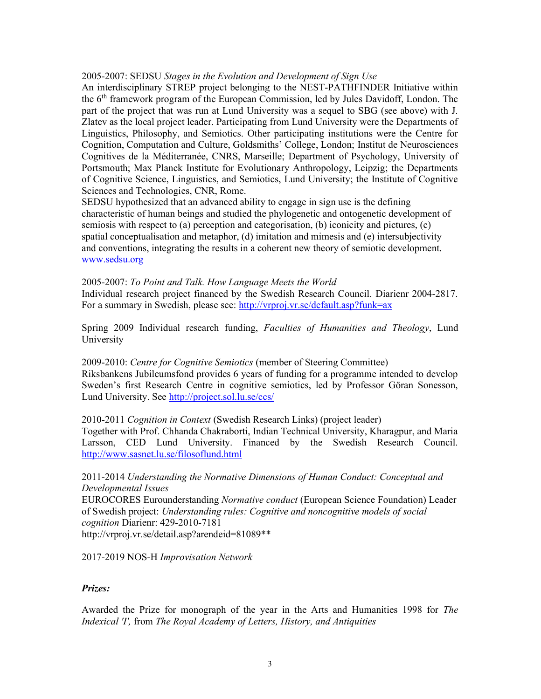## 2005-2007: SEDSU Stages in the Evolution and Development of Sign Use

An interdisciplinary STREP project belonging to the NEST-PATHFINDER Initiative within the 6th framework program of the European Commission, led by Jules Davidoff, London. The part of the project that was run at Lund University was a sequel to SBG (see above) with J. Zlatev as the local project leader. Participating from Lund University were the Departments of Linguistics, Philosophy, and Semiotics. Other participating institutions were the Centre for Cognition, Computation and Culture, Goldsmiths' College, London; Institut de Neurosciences Cognitives de la Méditerranée, CNRS, Marseille; Department of Psychology, University of Portsmouth; Max Planck Institute for Evolutionary Anthropology, Leipzig; the Departments of Cognitive Science, Linguistics, and Semiotics, Lund University; the Institute of Cognitive Sciences and Technologies, CNR, Rome.

SEDSU hypothesized that an advanced ability to engage in sign use is the defining characteristic of human beings and studied the phylogenetic and ontogenetic development of semiosis with respect to (a) perception and categorisation, (b) iconicity and pictures, (c) spatial conceptualisation and metaphor, (d) imitation and mimesis and (e) intersubjectivity and conventions, integrating the results in a coherent new theory of semiotic development. www.sedsu.org

2005-2007: To Point and Talk. How Language Meets the World

Individual research project financed by the Swedish Research Council. Diarienr 2004-2817. For a summary in Swedish, please see: http://vrproj.vr.se/default.asp?funk=ax

Spring 2009 Individual research funding, Faculties of Humanities and Theology, Lund University

2009-2010: Centre for Cognitive Semiotics (member of Steering Committee) Riksbankens Jubileumsfond provides 6 years of funding for a programme intended to develop Sweden's first Research Centre in cognitive semiotics, led by Professor Göran Sonesson, Lund University. See http://project.sol.lu.se/ccs/

2010-2011 Cognition in Context (Swedish Research Links) (project leader) Together with Prof. Chhanda Chakraborti, Indian Technical University, Kharagpur, and Maria Larsson, CED Lund University. Financed by the Swedish Research Council. http://www.sasnet.lu.se/filosoflund.html

2011-2014 Understanding the Normative Dimensions of Human Conduct: Conceptual and Developmental Issues EUROCORES Eurounderstanding Normative conduct (European Science Foundation) Leader of Swedish project: Understanding rules: Cognitive and noncognitive models of social cognition Diarienr: 429-2010-7181 http://vrproj.vr.se/detail.asp?arendeid=81089\*\*

2017-2019 NOS-H Improvisation Network

## Prizes:

Awarded the Prize for monograph of the year in the Arts and Humanities 1998 for The Indexical 'I', from The Royal Academy of Letters, History, and Antiquities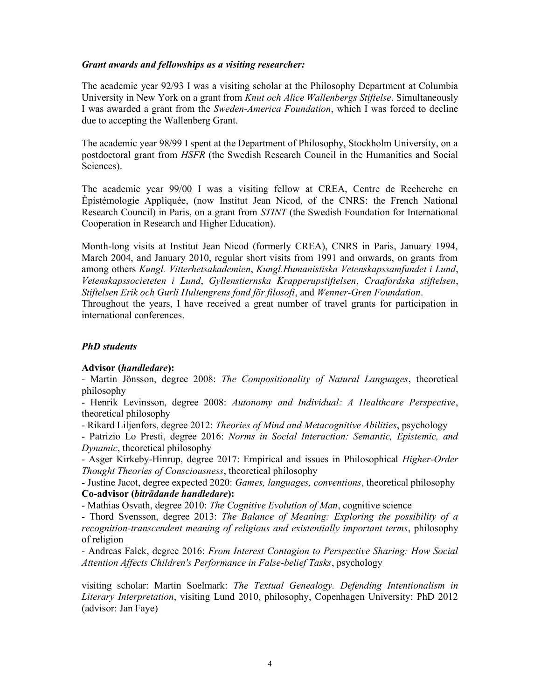## Grant awards and fellowships as a visiting researcher:

The academic year 92/93 I was a visiting scholar at the Philosophy Department at Columbia University in New York on a grant from Knut och Alice Wallenbergs Stiftelse. Simultaneously I was awarded a grant from the Sweden-America Foundation, which I was forced to decline due to accepting the Wallenberg Grant.

The academic year 98/99 I spent at the Department of Philosophy, Stockholm University, on a postdoctoral grant from HSFR (the Swedish Research Council in the Humanities and Social Sciences).

The academic year 99/00 I was a visiting fellow at CREA, Centre de Recherche en Épistémologie Appliquée, (now Institut Jean Nicod, of the CNRS: the French National Research Council) in Paris, on a grant from STINT (the Swedish Foundation for International Cooperation in Research and Higher Education).

Month-long visits at Institut Jean Nicod (formerly CREA), CNRS in Paris, January 1994, March 2004, and January 2010, regular short visits from 1991 and onwards, on grants from among others Kungl. Vitterhetsakademien, Kungl.Humanistiska Vetenskapssamfundet i Lund, Vetenskapssocieteten i Lund, Gyllenstiernska Krapperupstiftelsen, Craafordska stiftelsen, Stiftelsen Erik och Gurli Hultengrens fond för filosofi, and Wenner-Gren Foundation.

Throughout the years, I have received a great number of travel grants for participation in international conferences.

## PhD students

## Advisor (handledare):

- Martin Jönsson, degree 2008: The Compositionality of Natural Languages, theoretical philosophy

- Henrik Levinsson, degree 2008: Autonomy and Individual: A Healthcare Perspective, theoretical philosophy

- Rikard Liljenfors, degree 2012: Theories of Mind and Metacognitive Abilities, psychology

- Patrizio Lo Presti, degree 2016: Norms in Social Interaction: Semantic, Epistemic, and Dynamic, theoretical philosophy

- Asger Kirkeby-Hinrup, degree 2017: Empirical and issues in Philosophical *Higher-Order* Thought Theories of Consciousness, theoretical philosophy

- Justine Jacot, degree expected 2020: Games, languages, conventions, theoretical philosophy Co-advisor (biträdande handledare):

- Mathias Osvath, degree 2010: The Cognitive Evolution of Man, cognitive science

- Thord Svensson, degree 2013: The Balance of Meaning: Exploring the possibility of a recognition-transcendent meaning of religious and existentially important terms, philosophy of religion

- Andreas Falck, degree 2016: From Interest Contagion to Perspective Sharing: How Social Attention Affects Children's Performance in False-belief Tasks, psychology

visiting scholar: Martin Soelmark: The Textual Genealogy. Defending Intentionalism in Literary Interpretation, visiting Lund 2010, philosophy, Copenhagen University: PhD 2012 (advisor: Jan Faye)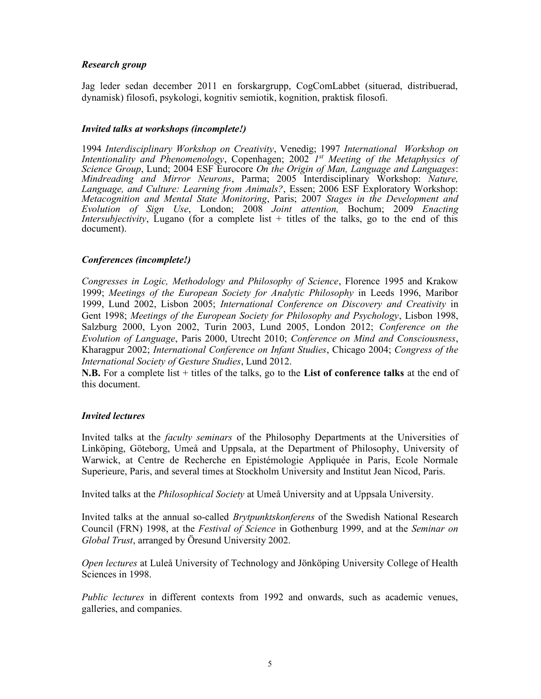# Research group

Jag leder sedan december 2011 en forskargrupp, CogComLabbet (situerad, distribuerad, dynamisk) filosofi, psykologi, kognitiv semiotik, kognition, praktisk filosofi.

## Invited talks at workshops (incomplete!)

1994 Interdisciplinary Workshop on Creativity, Venedig; 1997 International Workshop on Intentionality and Phenomenology, Copenhagen; 2002 Ist Meeting of the Metaphysics of Science Group, Lund; 2004 ESF Eurocore On the Origin of Man, Language and Languages: Mindreading and Mirror Neurons, Parma; 2005 Interdisciplinary Workshop: Nature, Language, and Culture: Learning from Animals?, Essen; 2006 ESF Exploratory Workshop: Metacognition and Mental State Monitoring, Paris; 2007 Stages in the Development and Evolution of Sign Use, London; 2008 Joint attention, Bochum; 2009 Enacting Intersubjectivity, Lugano (for a complete list + titles of the talks, go to the end of this document).

# Conferences (incomplete!)

Congresses in Logic, Methodology and Philosophy of Science, Florence 1995 and Krakow 1999; Meetings of the European Society for Analytic Philosophy in Leeds 1996, Maribor 1999, Lund 2002, Lisbon 2005; International Conference on Discovery and Creativity in Gent 1998; Meetings of the European Society for Philosophy and Psychology, Lisbon 1998, Salzburg 2000, Lyon 2002, Turin 2003, Lund 2005, London 2012; Conference on the Evolution of Language, Paris 2000, Utrecht 2010; Conference on Mind and Consciousness, Kharagpur 2002; International Conference on Infant Studies, Chicago 2004; Congress of the International Society of Gesture Studies, Lund 2012.

**N.B.** For a complete list  $+$  titles of the talks, go to the List of conference talks at the end of this document.

## Invited lectures

Invited talks at the faculty seminars of the Philosophy Departments at the Universities of Linköping, Göteborg, Umeå and Uppsala, at the Department of Philosophy, University of Warwick, at Centre de Recherche en Epistémologie Appliquée in Paris, Ecole Normale Superieure, Paris, and several times at Stockholm University and Institut Jean Nicod, Paris.

Invited talks at the Philosophical Society at Umeå University and at Uppsala University.

Invited talks at the annual so-called Brytpunktskonferens of the Swedish National Research Council (FRN) 1998, at the Festival of Science in Gothenburg 1999, and at the Seminar on Global Trust, arranged by Öresund University 2002.

Open lectures at Luleå University of Technology and Jönköping University College of Health Sciences in 1998.

Public lectures in different contexts from 1992 and onwards, such as academic venues, galleries, and companies.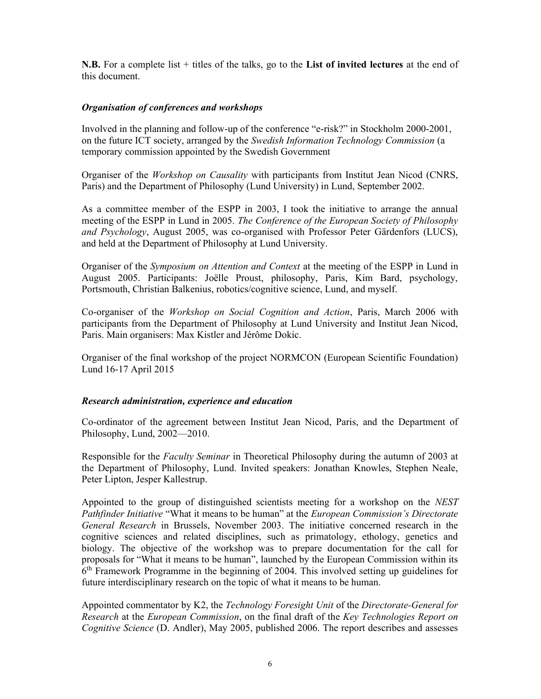**N.B.** For a complete list  $+$  titles of the talks, go to the List of invited lectures at the end of this document.

## Organisation of conferences and workshops

Involved in the planning and follow-up of the conference "e-risk?" in Stockholm 2000-2001, on the future ICT society, arranged by the Swedish Information Technology Commission (a temporary commission appointed by the Swedish Government

Organiser of the Workshop on Causality with participants from Institut Jean Nicod (CNRS, Paris) and the Department of Philosophy (Lund University) in Lund, September 2002.

As a committee member of the ESPP in 2003, I took the initiative to arrange the annual meeting of the ESPP in Lund in 2005. The Conference of the European Society of Philosophy and Psychology, August 2005, was co-organised with Professor Peter Gärdenfors (LUCS), and held at the Department of Philosophy at Lund University.

Organiser of the Symposium on Attention and Context at the meeting of the ESPP in Lund in August 2005. Participants: Joëlle Proust, philosophy, Paris, Kim Bard, psychology, Portsmouth, Christian Balkenius, robotics/cognitive science, Lund, and myself.

Co-organiser of the Workshop on Social Cognition and Action, Paris, March 2006 with participants from the Department of Philosophy at Lund University and Institut Jean Nicod, Paris. Main organisers: Max Kistler and Jérôme Dokic.

Organiser of the final workshop of the project NORMCON (European Scientific Foundation) Lund 16-17 April 2015

## Research administration, experience and education

Co-ordinator of the agreement between Institut Jean Nicod, Paris, and the Department of Philosophy, Lund, 2002—2010.

Responsible for the Faculty Seminar in Theoretical Philosophy during the autumn of 2003 at the Department of Philosophy, Lund. Invited speakers: Jonathan Knowles, Stephen Neale, Peter Lipton, Jesper Kallestrup.

Appointed to the group of distinguished scientists meeting for a workshop on the NEST Pathfinder Initiative "What it means to be human" at the European Commission's Directorate General Research in Brussels, November 2003. The initiative concerned research in the cognitive sciences and related disciplines, such as primatology, ethology, genetics and biology. The objective of the workshop was to prepare documentation for the call for proposals for "What it means to be human", launched by the European Commission within its 6<sup>th</sup> Framework Programme in the beginning of 2004. This involved setting up guidelines for future interdisciplinary research on the topic of what it means to be human.

Appointed commentator by K2, the Technology Foresight Unit of the Directorate-General for Research at the European Commission, on the final draft of the Key Technologies Report on Cognitive Science (D. Andler), May 2005, published 2006. The report describes and assesses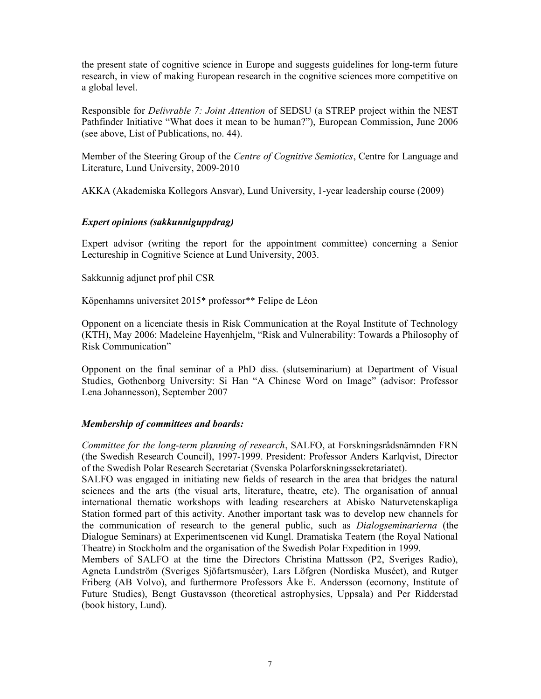the present state of cognitive science in Europe and suggests guidelines for long-term future research, in view of making European research in the cognitive sciences more competitive on a global level.

Responsible for Delivrable 7: Joint Attention of SEDSU (a STREP project within the NEST Pathfinder Initiative "What does it mean to be human?"), European Commission, June 2006 (see above, List of Publications, no. 44).

Member of the Steering Group of the Centre of Cognitive Semiotics, Centre for Language and Literature, Lund University, 2009-2010

AKKA (Akademiska Kollegors Ansvar), Lund University, 1-year leadership course (2009)

## Expert opinions (sakkunniguppdrag)

Expert advisor (writing the report for the appointment committee) concerning a Senior Lectureship in Cognitive Science at Lund University, 2003.

Sakkunnig adjunct prof phil CSR

Köpenhamns universitet 2015\* professor\*\* Felipe de Léon

Opponent on a licenciate thesis in Risk Communication at the Royal Institute of Technology (KTH), May 2006: Madeleine Hayenhjelm, "Risk and Vulnerability: Towards a Philosophy of Risk Communication"

Opponent on the final seminar of a PhD diss. (slutseminarium) at Department of Visual Studies, Gothenborg University: Si Han "A Chinese Word on Image" (advisor: Professor Lena Johannesson), September 2007

## Membership of committees and boards:

Committee for the long-term planning of research, SALFO, at Forskningsrådsnämnden FRN (the Swedish Research Council), 1997-1999. President: Professor Anders Karlqvist, Director of the Swedish Polar Research Secretariat (Svenska Polarforskningssekretariatet).

SALFO was engaged in initiating new fields of research in the area that bridges the natural sciences and the arts (the visual arts, literature, theatre, etc). The organisation of annual international thematic workshops with leading researchers at Abisko Naturvetenskapliga Station formed part of this activity. Another important task was to develop new channels for the communication of research to the general public, such as Dialogseminarierna (the Dialogue Seminars) at Experimentscenen vid Kungl. Dramatiska Teatern (the Royal National Theatre) in Stockholm and the organisation of the Swedish Polar Expedition in 1999.

Members of SALFO at the time the Directors Christina Mattsson (P2, Sveriges Radio), Agneta Lundström (Sveriges Sjöfartsmuséer), Lars Löfgren (Nordiska Muséet), and Rutger Friberg (AB Volvo), and furthermore Professors Åke E. Andersson (ecomony, Institute of Future Studies), Bengt Gustavsson (theoretical astrophysics, Uppsala) and Per Ridderstad (book history, Lund).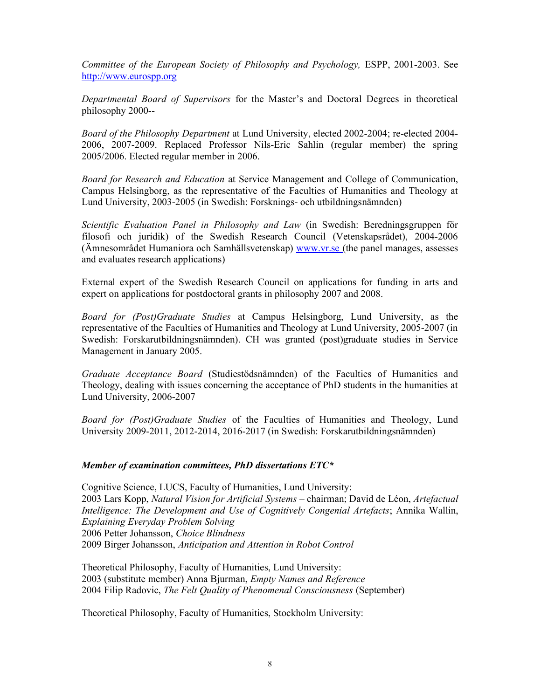Committee of the European Society of Philosophy and Psychology, ESPP, 2001-2003. See http://www.eurospp.org

Departmental Board of Supervisors for the Master's and Doctoral Degrees in theoretical philosophy 2000--

Board of the Philosophy Department at Lund University, elected 2002-2004; re-elected 2004- 2006, 2007-2009. Replaced Professor Nils-Eric Sahlin (regular member) the spring 2005/2006. Elected regular member in 2006.

Board for Research and Education at Service Management and College of Communication, Campus Helsingborg, as the representative of the Faculties of Humanities and Theology at Lund University, 2003-2005 (in Swedish: Forsknings- och utbildningsnämnden)

Scientific Evaluation Panel in Philosophy and Law (in Swedish: Beredningsgruppen för filosofi och juridik) of the Swedish Research Council (Vetenskapsrådet), 2004-2006 (Ämnesområdet Humaniora och Samhällsvetenskap) www.vr.se (the panel manages, assesses and evaluates research applications)

External expert of the Swedish Research Council on applications for funding in arts and expert on applications for postdoctoral grants in philosophy 2007 and 2008.

Board for (Post)Graduate Studies at Campus Helsingborg, Lund University, as the representative of the Faculties of Humanities and Theology at Lund University, 2005-2007 (in Swedish: Forskarutbildningsnämnden). CH was granted (post)graduate studies in Service Management in January 2005.

Graduate Acceptance Board (Studiestödsnämnden) of the Faculties of Humanities and Theology, dealing with issues concerning the acceptance of PhD students in the humanities at Lund University, 2006-2007

Board for (Post)Graduate Studies of the Faculties of Humanities and Theology, Lund University 2009-2011, 2012-2014, 2016-2017 (in Swedish: Forskarutbildningsnämnden)

## Member of examination committees, PhD dissertations ETC\*

Cognitive Science, LUCS, Faculty of Humanities, Lund University: 2003 Lars Kopp, Natural Vision for Artificial Systems – chairman; David de Léon, Artefactual Intelligence: The Development and Use of Cognitively Congenial Artefacts; Annika Wallin, Explaining Everyday Problem Solving 2006 Petter Johansson, Choice Blindness 2009 Birger Johansson, Anticipation and Attention in Robot Control

Theoretical Philosophy, Faculty of Humanities, Lund University: 2003 (substitute member) Anna Bjurman, Empty Names and Reference 2004 Filip Radovic, The Felt Quality of Phenomenal Consciousness (September)

Theoretical Philosophy, Faculty of Humanities, Stockholm University: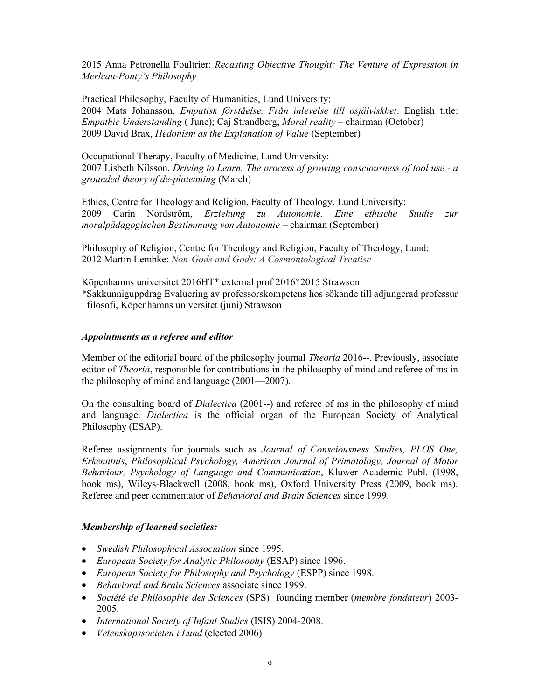2015 Anna Petronella Foultrier: Recasting Objective Thought: The Venture of Expression in Merleau-Ponty's Philosophy

Practical Philosophy, Faculty of Humanities, Lund University: 2004 Mats Johansson, Empatisk förståelse. Från inlevelse till osjälviskhet. English title: Empathic Understanding ( June); Caj Strandberg, Moral reality – chairman (October) 2009 David Brax, Hedonism as the Explanation of Value (September)

Occupational Therapy, Faculty of Medicine, Lund University: 2007 Lisbeth Nilsson, Driving to Learn. The process of growing consciousness of tool use - a grounded theory of de-plateauing (March)

Ethics, Centre for Theology and Religion, Faculty of Theology, Lund University: 2009 Carin Nordström, Erziehung zu Autonomie. Eine ethische Studie zur moralpädagogischen Bestimmung von Autonomie – chairman (September)

Philosophy of Religion, Centre for Theology and Religion, Faculty of Theology, Lund: 2012 Martin Lembke: Non-Gods and Gods: A Cosmontological Treatise

Köpenhamns universitet 2016HT\* external prof 2016\*2015 Strawson \*Sakkunniguppdrag Evaluering av professorskompetens hos sökande till adjungerad professur i filosofi, Köpenhamns universitet (juni) Strawson

# Appointments as a referee and editor

Member of the editorial board of the philosophy journal *Theoria* 2016--. Previously, associate editor of Theoria, responsible for contributions in the philosophy of mind and referee of ms in the philosophy of mind and language (2001—2007).

On the consulting board of Dialectica (2001--) and referee of ms in the philosophy of mind and language. Dialectica is the official organ of the European Society of Analytical Philosophy (ESAP).

Referee assignments for journals such as Journal of Consciousness Studies, PLOS One, Erkenntnis, Philosophical Psychology, American Journal of Primatology, Journal of Motor Behaviour, Psychology of Language and Communication, Kluwer Academic Publ. (1998, book ms), Wileys-Blackwell (2008, book ms), Oxford University Press (2009, book ms). Referee and peer commentator of Behavioral and Brain Sciences since 1999.

## Membership of learned societies:

- Swedish Philosophical Association since 1995.
- European Society for Analytic Philosophy (ESAP) since 1996.
- European Society for Philosophy and Psychology (ESPP) since 1998.
- Behavioral and Brain Sciences associate since 1999.
- Société de Philosophie des Sciences (SPS) founding member (membre fondateur) 2003- 2005.
- International Society of Infant Studies (ISIS) 2004-2008.
- Vetenskapssocieten i Lund (elected 2006)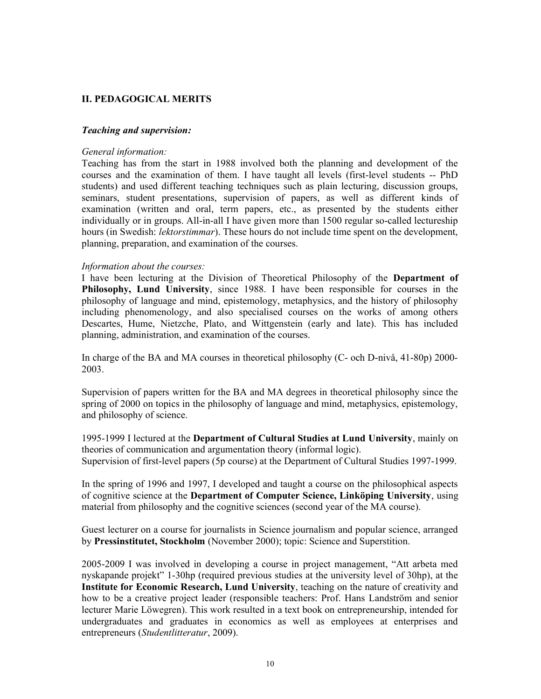# II. PEDAGOGICAL MERITS

## Teaching and supervision:

## General information:

Teaching has from the start in 1988 involved both the planning and development of the courses and the examination of them. I have taught all levels (first-level students -- PhD students) and used different teaching techniques such as plain lecturing, discussion groups, seminars, student presentations, supervision of papers, as well as different kinds of examination (written and oral, term papers, etc., as presented by the students either individually or in groups. All-in-all I have given more than 1500 regular so-called lectureship hours (in Swedish: *lektorstimmar*). These hours do not include time spent on the development, planning, preparation, and examination of the courses.

## Information about the courses:

I have been lecturing at the Division of Theoretical Philosophy of the Department of Philosophy, Lund University, since 1988. I have been responsible for courses in the philosophy of language and mind, epistemology, metaphysics, and the history of philosophy including phenomenology, and also specialised courses on the works of among others Descartes, Hume, Nietzche, Plato, and Wittgenstein (early and late). This has included planning, administration, and examination of the courses.

In charge of the BA and MA courses in theoretical philosophy (C- och D-nivå, 41-80p) 2000- 2003.

Supervision of papers written for the BA and MA degrees in theoretical philosophy since the spring of 2000 on topics in the philosophy of language and mind, metaphysics, epistemology, and philosophy of science.

1995-1999 I lectured at the Department of Cultural Studies at Lund University, mainly on theories of communication and argumentation theory (informal logic). Supervision of first-level papers (5p course) at the Department of Cultural Studies 1997-1999.

In the spring of 1996 and 1997, I developed and taught a course on the philosophical aspects of cognitive science at the Department of Computer Science, Linköping University, using material from philosophy and the cognitive sciences (second year of the MA course).

Guest lecturer on a course for journalists in Science journalism and popular science, arranged by Pressinstitutet, Stockholm (November 2000); topic: Science and Superstition.

2005-2009 I was involved in developing a course in project management, "Att arbeta med nyskapande projekt" 1-30hp (required previous studies at the university level of 30hp), at the Institute for Economic Research, Lund University, teaching on the nature of creativity and how to be a creative project leader (responsible teachers: Prof. Hans Landström and senior lecturer Marie Löwegren). This work resulted in a text book on entrepreneurship, intended for undergraduates and graduates in economics as well as employees at enterprises and entrepreneurs (Studentlitteratur, 2009).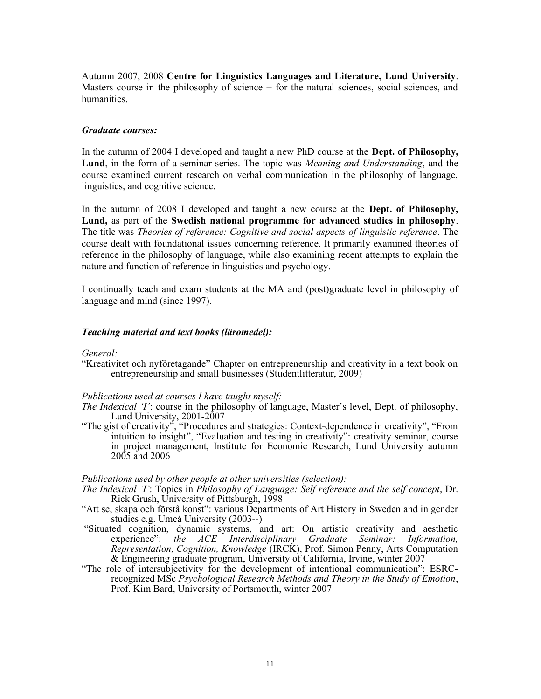Autumn 2007, 2008 Centre for Linguistics Languages and Literature, Lund University. Masters course in the philosophy of science − for the natural sciences, social sciences, and humanities.

### Graduate courses:

In the autumn of 2004 I developed and taught a new PhD course at the Dept. of Philosophy, Lund, in the form of a seminar series. The topic was *Meaning and Understanding*, and the course examined current research on verbal communication in the philosophy of language, linguistics, and cognitive science.

In the autumn of 2008 I developed and taught a new course at the Dept. of Philosophy, Lund, as part of the Swedish national programme for advanced studies in philosophy. The title was Theories of reference: Cognitive and social aspects of linguistic reference. The course dealt with foundational issues concerning reference. It primarily examined theories of reference in the philosophy of language, while also examining recent attempts to explain the nature and function of reference in linguistics and psychology.

I continually teach and exam students at the MA and (post)graduate level in philosophy of language and mind (since 1997).

### Teaching material and text books (läromedel):

#### General:

"Kreativitet och nyföretagande" Chapter on entrepreneurship and creativity in a text book on entrepreneurship and small businesses (Studentlitteratur, 2009)

#### Publications used at courses I have taught myself:

- The Indexical 'I': course in the philosophy of language, Master's level, Dept. of philosophy, Lund University, 2001-2007
- "The gist of creativity", "Procedures and strategies: Context-dependence in creativity", "From intuition to insight", "Evaluation and testing in creativity": creativity seminar, course in project management, Institute for Economic Research, Lund University autumn 2005 and 2006

#### Publications used by other people at other universities (selection):

- The Indexical 'I': Topics in Philosophy of Language: Self reference and the self concept, Dr. Rick Grush, University of Pittsburgh, 1998
- "Att se, skapa och förstå konst": various Departments of Art History in Sweden and in gender studies e.g. Umeå University (2003--)
- "Situated cognition, dynamic systems, and art: On artistic creativity and aesthetic experience": the ACE Interdisciplinary Graduate Seminar: Information, Representation, Cognition, Knowledge (IRCK), Prof. Simon Penny, Arts Computation & Engineering graduate program, University of California, Irvine, winter 2007
- "The role of intersubjectivity for the development of intentional communication": ESRCrecognized MSc Psychological Research Methods and Theory in the Study of Emotion, Prof. Kim Bard, University of Portsmouth, winter 2007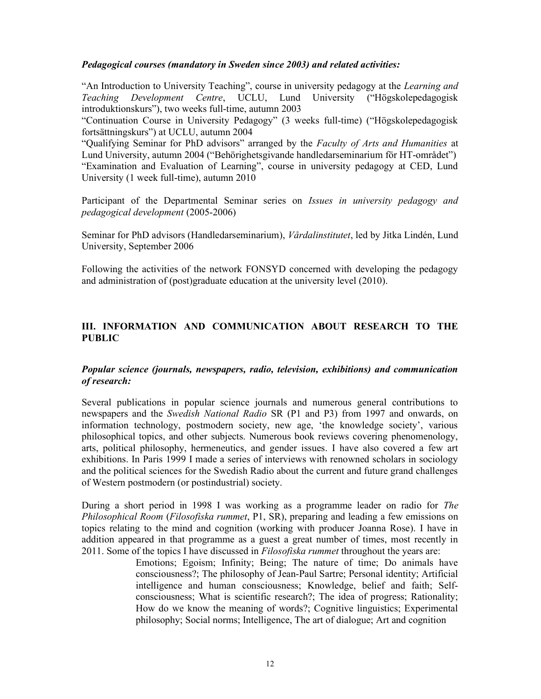## Pedagogical courses (mandatory in Sweden since 2003) and related activities:

"An Introduction to University Teaching", course in university pedagogy at the Learning and Teaching Development Centre, UCLU, Lund University ("Högskolepedagogisk introduktionskurs"), two weeks full-time, autumn 2003

"Continuation Course in University Pedagogy" (3 weeks full-time) ("Högskolepedagogisk fortsättningskurs") at UCLU, autumn 2004

"Qualifying Seminar for PhD advisors" arranged by the Faculty of Arts and Humanities at Lund University, autumn 2004 ("Behörighetsgivande handledarseminarium för HT-området") "Examination and Evaluation of Learning", course in university pedagogy at CED, Lund University (1 week full-time), autumn 2010

Participant of the Departmental Seminar series on *Issues in university pedagogy and* pedagogical development (2005-2006)

Seminar for PhD advisors (Handledarseminarium), Vårdalinstitutet, led by Jitka Lindén, Lund University, September 2006

Following the activities of the network FONSYD concerned with developing the pedagogy and administration of (post)graduate education at the university level (2010).

# III. INFORMATION AND COMMUNICATION ABOUT RESEARCH TO THE PUBLIC

## Popular science (journals, newspapers, radio, television, exhibitions) and communication of research:

Several publications in popular science journals and numerous general contributions to newspapers and the Swedish National Radio SR (P1 and P3) from 1997 and onwards, on information technology, postmodern society, new age, 'the knowledge society', various philosophical topics, and other subjects. Numerous book reviews covering phenomenology, arts, political philosophy, hermeneutics, and gender issues. I have also covered a few art exhibitions. In Paris 1999 I made a series of interviews with renowned scholars in sociology and the political sciences for the Swedish Radio about the current and future grand challenges of Western postmodern (or postindustrial) society.

During a short period in 1998 I was working as a programme leader on radio for The Philosophical Room (Filosofiska rummet, P1, SR), preparing and leading a few emissions on topics relating to the mind and cognition (working with producer Joanna Rose). I have in addition appeared in that programme as a guest a great number of times, most recently in 2011. Some of the topics I have discussed in Filosofiska rummet throughout the years are:

> Emotions; Egoism; Infinity; Being; The nature of time; Do animals have consciousness?; The philosophy of Jean-Paul Sartre; Personal identity; Artificial intelligence and human consciousness; Knowledge, belief and faith; Selfconsciousness; What is scientific research?; The idea of progress; Rationality; How do we know the meaning of words?; Cognitive linguistics; Experimental philosophy; Social norms; Intelligence, The art of dialogue; Art and cognition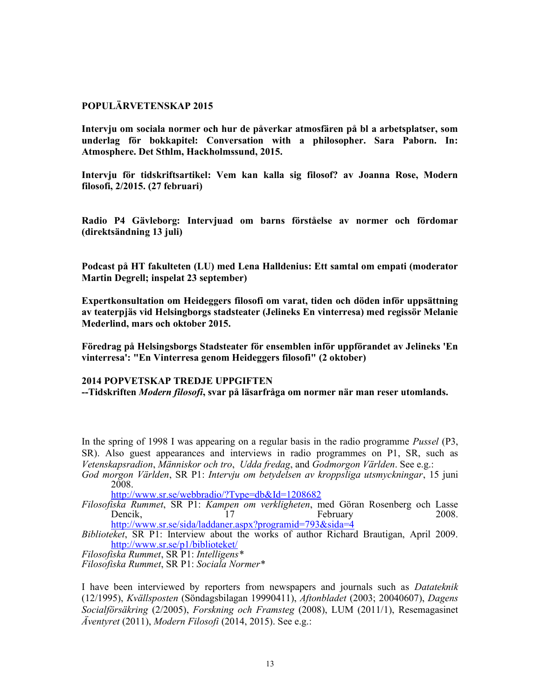## POPULÄRVETENSKAP 2015

Intervju om sociala normer och hur de påverkar atmosfären på bl a arbetsplatser, som underlag för bokkapitel: Conversation with a philosopher. Sara Paborn. In: Atmosphere. Det Sthlm, Hackholmssund, 2015.

Intervju för tidskriftsartikel: Vem kan kalla sig filosof? av Joanna Rose, Modern filosofi, 2/2015. (27 februari)

Radio P4 Gävleborg: Intervjuad om barns förståelse av normer och fördomar (direktsändning 13 juli)

Podcast på HT fakulteten (LU) med Lena Halldenius: Ett samtal om empati (moderator Martin Degrell; inspelat 23 september)

Expertkonsultation om Heideggers filosofi om varat, tiden och döden inför uppsättning av teaterpjäs vid Helsingborgs stadsteater (Jelineks En vinterresa) med regissör Melanie Mederlind, mars och oktober 2015.

Föredrag på Helsingsborgs Stadsteater för ensemblen inför uppförandet av Jelineks 'En vinterresa': "En Vinterresa genom Heideggers filosofi" (2 oktober)

# 2014 POPVETSKAP TREDJE UPPGIFTEN

--Tidskriften Modern filosofi, svar på läsarfråga om normer när man reser utomlands.

In the spring of 1998 I was appearing on a regular basis in the radio programme *Pussel* (P3, SR). Also guest appearances and interviews in radio programmes on P1, SR, such as Vetenskapsradion, Människor och tro, Udda fredag, and Godmorgon Världen. See e.g.: God morgon Världen, SR P1: Intervju om betydelsen av kroppsliga utsmyckningar, 15 juni

2008.

http://www.sr.se/webbradio/?Type=db&Id=1208682

Filosofiska Rummet, SR P1: Kampen om verkligheten, med Göran Rosenberg och Lasse Dencik, 17 February 2008. http://www.sr.se/sida/laddaner.aspx?programid=793&sida=4

Biblioteket, SR P1: Interview about the works of author Richard Brautigan, April 2009. http://www.sr.se/p1/biblioteket/

Filosofiska Rummet, SR P1: Intelligens\* Filosofiska Rummet, SR P1: Sociala Normer\*

I have been interviewed by reporters from newspapers and journals such as Datateknik (12/1995), Kvällsposten (Söndagsbilagan 19990411), Aftonbladet (2003; 20040607), Dagens Socialförsäkring (2/2005), Forskning och Framsteg (2008), LUM (2011/1), Resemagasinet  $\ddot{A}$ ventyret (2011), Modern Filosofi (2014, 2015). See e.g.: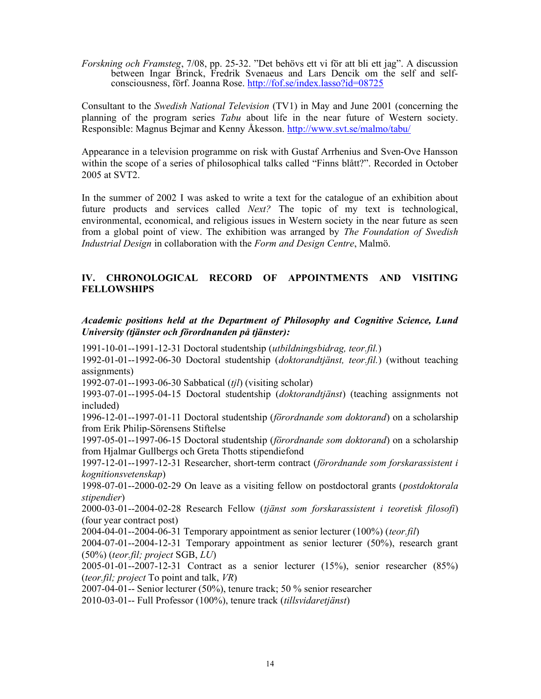Forskning och Framsteg, 7/08, pp. 25-32. "Det behövs ett vi för att bli ett jag". A discussion between Ingar Brinck, Fredrik Svenaeus and Lars Dencik om the self and selfconsciousness, förf. Joanna Rose. http://fof.se/index.lasso?id=08725

Consultant to the Swedish National Television (TV1) in May and June 2001 (concerning the planning of the program series Tabu about life in the near future of Western society. Responsible: Magnus Bejmar and Kenny Åkesson. http://www.svt.se/malmo/tabu/

Appearance in a television programme on risk with Gustaf Arrhenius and Sven-Ove Hansson within the scope of a series of philosophical talks called "Finns blått?". Recorded in October 2005 at SVT2.

In the summer of 2002 I was asked to write a text for the catalogue of an exhibition about future products and services called Next? The topic of my text is technological, environmental, economical, and religious issues in Western society in the near future as seen from a global point of view. The exhibition was arranged by The Foundation of Swedish Industrial Design in collaboration with the Form and Design Centre, Malmö.

# IV. CHRONOLOGICAL RECORD OF APPOINTMENTS AND VISITING FELLOWSHIPS

# Academic positions held at the Department of Philosophy and Cognitive Science, Lund University (tjänster och förordnanden på tjänster):

1991-10-01--1991-12-31 Doctoral studentship (utbildningsbidrag, teor.fil.)

1992-01-01--1992-06-30 Doctoral studentship (doktorandtjänst, teor.fil.) (without teaching assignments)

1992-07-01--1993-06-30 Sabbatical (tjl) (visiting scholar)

1993-07-01--1995-04-15 Doctoral studentship (doktorandtjänst) (teaching assignments not included)

1996-12-01--1997-01-11 Doctoral studentship (förordnande som doktorand) on a scholarship from Erik Philip-Sörensens Stiftelse

1997-05-01--1997-06-15 Doctoral studentship (förordnande som doktorand) on a scholarship from Hjalmar Gullbergs och Greta Thotts stipendiefond

1997-12-01--1997-12-31 Researcher, short-term contract (förordnande som forskarassistent i kognitionsvetenskap)

1998-07-01--2000-02-29 On leave as a visiting fellow on postdoctoral grants (postdoktorala stipendier)

2000-03-01--2004-02-28 Research Fellow (tjänst som forskarassistent i teoretisk filosofi) (four year contract post)

2004-04-01--2004-06-31 Temporary appointment as senior lecturer  $(100\%)$  (teor.fil)

2004-07-01--2004-12-31 Temporary appointment as senior lecturer (50%), research grant  $(50\%)$  (teor.fil; project SGB, LU)

2005-01-01--2007-12-31 Contract as a senior lecturer (15%), senior researcher (85%) (teor.fil; project To point and talk,  $VR$ )

2007-04-01-- Senior lecturer (50%), tenure track; 50 % senior researcher

2010-03-01-- Full Professor (100%), tenure track (tillsvidaretjänst)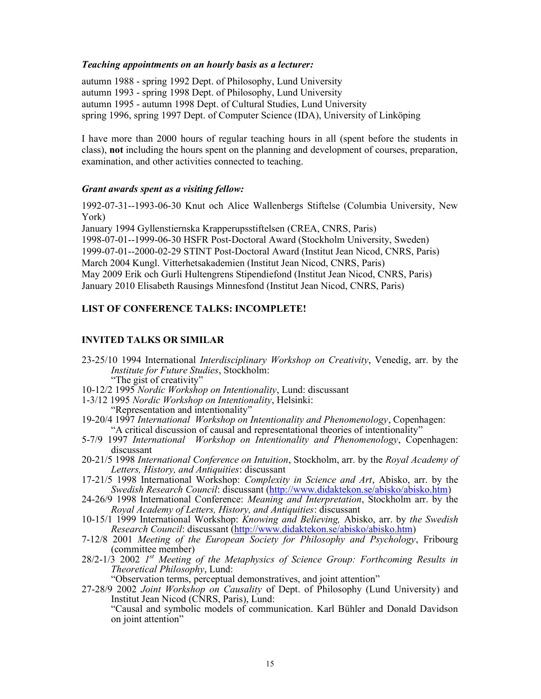## Teaching appointments on an hourly basis as a lecturer:

autumn 1988 - spring 1992 Dept. of Philosophy, Lund University autumn 1993 - spring 1998 Dept. of Philosophy, Lund University autumn 1995 - autumn 1998 Dept. of Cultural Studies, Lund University spring 1996, spring 1997 Dept. of Computer Science (IDA), University of Linköping

I have more than 2000 hours of regular teaching hours in all (spent before the students in class), not including the hours spent on the planning and development of courses, preparation, examination, and other activities connected to teaching.

## Grant awards spent as a visiting fellow:

1992-07-31--1993-06-30 Knut och Alice Wallenbergs Stiftelse (Columbia University, New York)

January 1994 Gyllenstiernska Krapperupsstiftelsen (CREA, CNRS, Paris) 1998-07-01--1999-06-30 HSFR Post-Doctoral Award (Stockholm University, Sweden) 1999-07-01--2000-02-29 STINT Post-Doctoral Award (Institut Jean Nicod, CNRS, Paris) March 2004 Kungl. Vitterhetsakademien (Institut Jean Nicod, CNRS, Paris) May 2009 Erik och Gurli Hultengrens Stipendiefond (Institut Jean Nicod, CNRS, Paris) January 2010 Elisabeth Rausings Minnesfond (Institut Jean Nicod, CNRS, Paris)

## LIST OF CONFERENCE TALKS: INCOMPLETE!

# INVITED TALKS OR SIMILAR

- 23-25/10 1994 International Interdisciplinary Workshop on Creativity, Venedig, arr. by the Institute for Future Studies, Stockholm: "The gist of creativity"
- 10-12/2 1995 Nordic Workshop on Intentionality, Lund: discussant
- 1-3/12 1995 Nordic Workshop on Intentionality, Helsinki: "Representation and intentionality"
- 19-20/4 1997 International Workshop on Intentionality and Phenomenology, Copenhagen: "A critical discussion of causal and representational theories of intentionality"
- 5-7/9 1997 International Workshop on Intentionality and Phenomenology, Copenhagen: discussant
- 20-21/5 1998 International Conference on Intuition, Stockholm, arr. by the Royal Academy of Letters, History, and Antiquities: discussant
- 17-21/5 1998 International Workshop: Complexity in Science and Art, Abisko, arr. by the Swedish Research Council: discussant (http://www.didaktekon.se/abisko/abisko.htm)
- 24-26/9 1998 International Conference: Meaning and Interpretation, Stockholm arr. by the Royal Academy of Letters, History, and Antiquities: discussant
- 10-15/1 1999 International Workshop: Knowing and Believing, Abisko, arr. by the Swedish Research Council: discussant (http://www.didaktekon.se/abisko/abisko.htm)
- 7-12/8 2001 Meeting of the European Society for Philosophy and Psychology, Fribourg (committee member)
- $28/2$ -1/3 2002 1<sup>st</sup> Meeting of the Metaphysics of Science Group: Forthcoming Results in Theoretical Philosophy, Lund:
	- "Observation terms, perceptual demonstratives, and joint attention"
- 27-28/9 2002 Joint Workshop on Causality of Dept. of Philosophy (Lund University) and Institut Jean Nicod (CNRS, Paris), Lund: "Causal and symbolic models of communication. Karl Bühler and Donald Davidson on joint attention"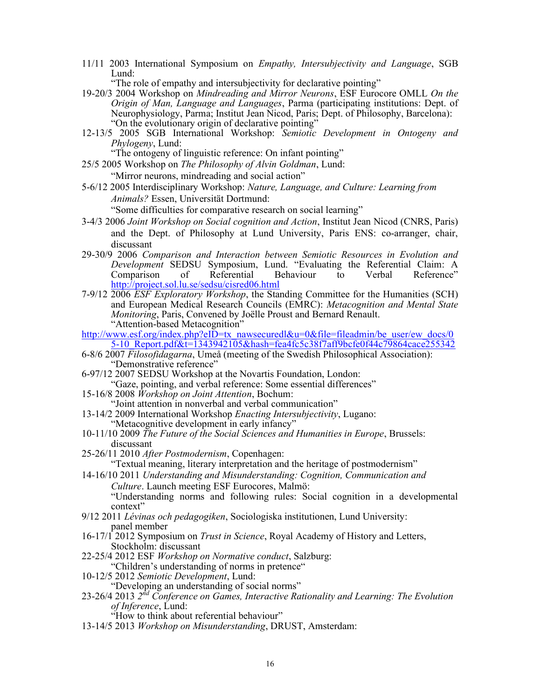11/11 2003 International Symposium on Empathy, Intersubjectivity and Language, SGB Lund:

"The role of empathy and intersubjectivity for declarative pointing"

- 19-20/3 2004 Workshop on Mindreading and Mirror Neurons, ESF Eurocore OMLL On the Origin of Man, Language and Languages, Parma (participating institutions: Dept. of Neurophysiology, Parma; Institut Jean Nicod, Paris; Dept. of Philosophy, Barcelona): "On the evolutionary origin of declarative pointing"
- 12-13/5 2005 SGB International Workshop: Semiotic Development in Ontogeny and Phylogeny, Lund:

"The ontogeny of linguistic reference: On infant pointing"

- 25/5 2005 Workshop on The Philosophy of Alvin Goldman, Lund: "Mirror neurons, mindreading and social action"
- 5-6/12 2005 Interdisciplinary Workshop: Nature, Language, and Culture: Learning from Animals? Essen, Universität Dortmund:

"Some difficulties for comparative research on social learning"

- 3-4/3 2006 Joint Workshop on Social cognition and Action, Institut Jean Nicod (CNRS, Paris) and the Dept. of Philosophy at Lund University, Paris ENS: co-arranger, chair, discussant
- 29-30/9 2006 Comparison and Interaction between Semiotic Resources in Evolution and Development SEDSU Symposium, Lund. "Evaluating the Referential Claim: A Comparison of Referential Behaviour to Verbal Reference" http://project.sol.lu.se/sedsu/cisred06.html
- 7-9/12 2006 ESF Exploratory Workshop, the Standing Committee for the Humanities (SCH) and European Medical Research Councils (EMRC): Metacognition and Mental State Monitoring, Paris, Convened by Joëlle Proust and Bernard Renault. "Attention-based Metacognition"
- http://www.esf.org/index.php?eID=tx\_nawsecuredl&u=0&file=fileadmin/be\_user/ew\_docs/0 5-10\_Report.pdf&t=1343942105&hash=fea4fc5c38f7aff9bcfe0f44c79864cace255342
- 6-8/6 2007  $\overline{Filosofidagarna}$ , Umeå (meeting of the Swedish Philosophical Association): "Demonstrative reference"
- 6-97/12 2007 SEDSU Workshop at the Novartis Foundation, London: "Gaze, pointing, and verbal reference: Some essential differences"
- 15-16/8 2008 Workshop on Joint Attention, Bochum:
- "Joint attention in nonverbal and verbal communication"
- 13-14/2 2009 International Workshop Enacting Intersubjectivity, Lugano: "Metacognitive development in early infancy"
- 10-11/10 2009 The Future of the Social Sciences and Humanities in Europe, Brussels: discussant
- 25-26/11 2010 After Postmodernism, Copenhagen: "Textual meaning, literary interpretation and the heritage of postmodernism"
- 14-16/10 2011 Understanding and Misunderstanding: Cognition, Communication and Culture. Launch meeting ESF Eurocores, Malmö: "Understanding norms and following rules: Social cognition in a developmental context"
- 9/12 2011 Lévinas och pedagogiken, Sociologiska institutionen, Lund University: panel member
- 16-17/1 2012 Symposium on Trust in Science, Royal Academy of History and Letters, Stockholm: discussant
- 22-25/4 2012 ESF Workshop on Normative conduct, Salzburg: "Children's understanding of norms in pretence"
- 10-12/5 2012 Semiotic Development, Lund:
	- "Developing an understanding of social norms"
- 23-26/4 2013  $2<sup>nd</sup>$  Conference on Games, Interactive Rationality and Learning: The Evolution of Inference, Lund:
	- "How to think about referential behaviour"
- 13-14/5 2013 Workshop on Misunderstanding, DRUST, Amsterdam: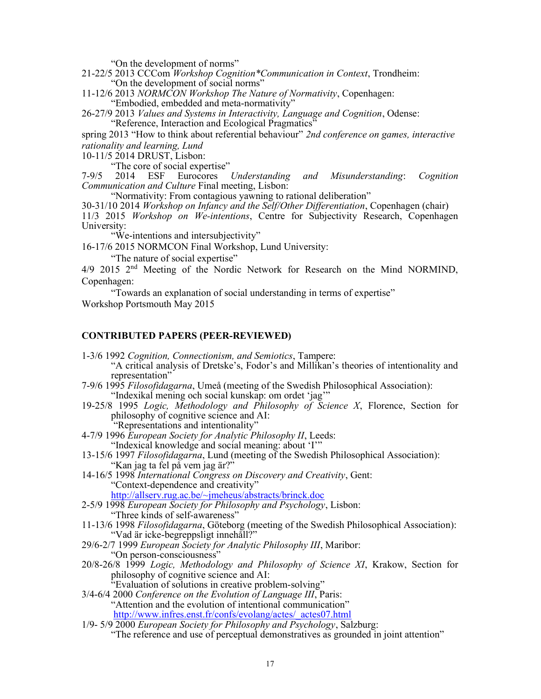"On the development of norms"

- 21-22/5 2013 CCCom Workshop Cognition\*Communication in Context, Trondheim: "On the development of social norms"
- 11-12/6 2013 NORMCON Workshop The Nature of Normativity, Copenhagen: "Embodied, embedded and meta-normativity"
- 26-27/9 2013 Values and Systems in Interactivity, Language and Cognition, Odense: "Reference, Interaction and Ecological Pragmatics"

spring 2013 "How to think about referential behaviour" 2nd conference on games, interactive rationality and learning, Lund

10-11/5 2014 DRUST, Lisbon:

"The core of social expertise"

7-9/5 2014 ESF Eurocores Understanding and Misunderstanding: Cognition Communication and Culture Final meeting, Lisbon:

"Normativity: From contagious yawning to rational deliberation"

30-31/10 2014 Workshop on Infancy and the Self/Other Differentiation, Copenhagen (chair) 11/3 2015 Workshop on We-intentions, Centre for Subjectivity Research, Copenhagen University:

"We-intentions and intersubjectivity"

16-17/6 2015 NORMCON Final Workshop, Lund University:

"The nature of social expertise"

4/9 2015 2nd Meeting of the Nordic Network for Research on the Mind NORMIND, Copenhagen:

"Towards an explanation of social understanding in terms of expertise" Workshop Portsmouth May 2015

## CONTRIBUTED PAPERS (PEER-REVIEWED)

- 1-3/6 1992 Cognition, Connectionism, and Semiotics, Tampere: "A critical analysis of Dretske's, Fodor's and Millikan's theories of intentionality and representation"
- 7-9/6 1995 Filosofidagarna, Umeå (meeting of the Swedish Philosophical Association): "Indexikal mening och social kunskap: om ordet 'jag'"
- 19-25/8 1995 Logic, Methodology and Philosophy of Science  $X$ , Florence, Section for philosophy of cognitive science and AI: "Representations and intentionality"
- 4-7/9 1996 European Society for Analytic Philosophy II, Leeds: "Indexical knowledge and social meaning: about 'I'"
- 13-15/6 1997 Filosofidagarna, Lund (meeting of the Swedish Philosophical Association): "Kan jag ta fel på vem jag är?"
- 14-16/5 1998 International Congress on Discovery and Creativity, Gent: "Context-dependence and creativity" http://allserv.rug.ac.be/~jmeheus/abstracts/brinck.doc
- 2-5/9 1998 European Society for Philosophy and Psychology, Lisbon:

"Three kinds of self-awareness"

- 11-13/6 1998 Filosofidagarna, Göteborg (meeting of the Swedish Philosophical Association): "Vad är icke-begreppsligt innehåll?"
- 29/6-2/7 1999 European Society for Analytic Philosophy III, Maribor: "On person-consciousness"
- 20/8-26/8 1999 Logic, Methodology and Philosophy of Science XI, Krakow, Section for philosophy of cognitive science and AI: "Evaluation of solutions in creative problem-solving"
- 3/4-6/4 2000 Conference on the Evolution of Language III, Paris: "Attention and the evolution of intentional communication"
	- http://www.infres.enst.fr/confs/evolang/actes/\_actes07.html
- $1/9$  5/9 2000 European Society for Philosophy and Psychology, Salzburg: "The reference and use of perceptual demonstratives as grounded in joint attention"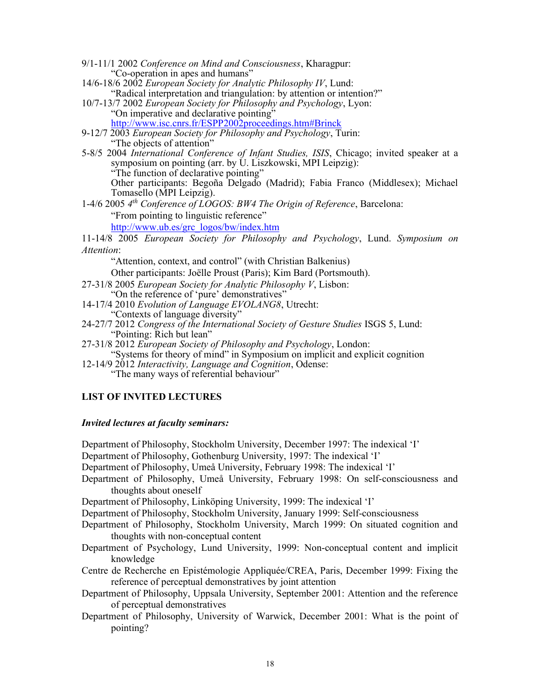- 9/1-11/1 2002 Conference on Mind and Consciousness, Kharagpur: "Co-operation in apes and humans"
- 14/6-18/6 2002 European Society for Analytic Philosophy IV, Lund: "Radical interpretation and triangulation: by attention or intention?"
- 10/7-13/7 2002 European Society for Philosophy and Psychology, Lyon: "On imperative and declarative pointing" http://www.isc.cnrs.fr/ESPP2002proceedings.htm#Brinck
- 9-12/7  $\overline{2003}$  European Society for Philosophy and Psychology, Turin: "The objects of attention"
- 5-8/5 2004 International Conference of Infant Studies, ISIS, Chicago; invited speaker at a symposium on pointing (arr. by U. Liszkowski, MPI Leipzig): "The function of declarative pointing" Other participants: Begoña Delgado (Madrid); Fabia Franco (Middlesex); Michael
- Tomasello (MPI Leipzig). 1-4/6 2005 4<sup>th</sup> Conference of LOGOS: BW4 The Origin of Reference, Barcelona: "From pointing to linguistic reference"

http://www.ub.es/grc\_logos/bw/index.htm

11-14/8 2005 European Society for Philosophy and Psychology, Lund. Symposium on Attention:

"Attention, context, and control" (with Christian Balkenius)

Other participants: Joëlle Proust (Paris); Kim Bard (Portsmouth).

27-31/8 2005 European Society for Analytic Philosophy V, Lisbon:

"On the reference of 'pure' demonstratives"

- 14-17/4 2010 Evolution of Language EVOLANG8, Utrecht:
	- "Contexts of language diversity"
- 24-27/7 2012 Congress of the International Society of Gesture Studies ISGS 5, Lund: "Pointing: Rich but lean"
- 27-31/8 2012 European Society of Philosophy and Psychology, London: "Systems for theory of mind" in Symposium on implicit and explicit cognition
- 12-14/9 2012 Interactivity, Language and Cognition, Odense: "The many ways of referential behaviour"

# LIST OF INVITED LECTURES

## Invited lectures at faculty seminars:

Department of Philosophy, Stockholm University, December 1997: The indexical 'I'

Department of Philosophy, Gothenburg University, 1997: The indexical 'I'

Department of Philosophy, Umeå University, February 1998: The indexical 'I'

Department of Philosophy, Umeå University, February 1998: On self-consciousness and thoughts about oneself

Department of Philosophy, Linköping University, 1999: The indexical 'I'

Department of Philosophy, Stockholm University, January 1999: Self-consciousness

- Department of Philosophy, Stockholm University, March 1999: On situated cognition and thoughts with non-conceptual content
- Department of Psychology, Lund University, 1999: Non-conceptual content and implicit knowledge
- Centre de Recherche en Epistémologie Appliquée/CREA, Paris, December 1999: Fixing the reference of perceptual demonstratives by joint attention
- Department of Philosophy, Uppsala University, September 2001: Attention and the reference of perceptual demonstratives
- Department of Philosophy, University of Warwick, December 2001: What is the point of pointing?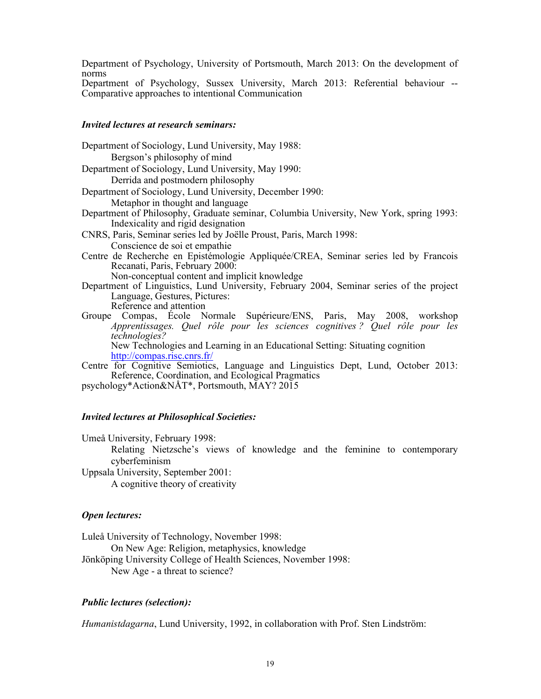Department of Psychology, University of Portsmouth, March 2013: On the development of norms

Department of Psychology, Sussex University, March 2013: Referential behaviour -- Comparative approaches to intentional Communication

## Invited lectures at research seminars:

| Bergson's philosophy of mind<br>Department of Sociology, Lund University, May 1990:<br>Derrida and postmodern philosophy<br>Department of Sociology, Lund University, December 1990:<br>Metaphor in thought and language<br>Department of Philosophy, Graduate seminar, Columbia University, New York, spring 1993:<br>Indexicality and rigid designation<br>CNRS, Paris, Seminar series led by Joëlle Proust, Paris, March 1998:<br>Conscience de soi et empathie<br>Centre de Recherche en Epistémologie Appliquée/CREA, Seminar series led by Francois<br>Recanati, Paris, February 2000:<br>Non-conceptual content and implicit knowledge<br>Department of Linguistics, Lund University, February 2004, Seminar series of the project<br>Language, Gestures, Pictures:<br>Reference and attention<br>Groupe Compas, Ecole Normale Supérieure/ENS, Paris, May 2008, workshop<br>Apprentissages. Quel rôle pour les sciences cognitives? Quel rôle pour les<br>technologies?<br>New Technologies and Learning in an Educational Setting: Situating cognition |
|----------------------------------------------------------------------------------------------------------------------------------------------------------------------------------------------------------------------------------------------------------------------------------------------------------------------------------------------------------------------------------------------------------------------------------------------------------------------------------------------------------------------------------------------------------------------------------------------------------------------------------------------------------------------------------------------------------------------------------------------------------------------------------------------------------------------------------------------------------------------------------------------------------------------------------------------------------------------------------------------------------------------------------------------------------------|
|                                                                                                                                                                                                                                                                                                                                                                                                                                                                                                                                                                                                                                                                                                                                                                                                                                                                                                                                                                                                                                                                |
|                                                                                                                                                                                                                                                                                                                                                                                                                                                                                                                                                                                                                                                                                                                                                                                                                                                                                                                                                                                                                                                                |
|                                                                                                                                                                                                                                                                                                                                                                                                                                                                                                                                                                                                                                                                                                                                                                                                                                                                                                                                                                                                                                                                |
|                                                                                                                                                                                                                                                                                                                                                                                                                                                                                                                                                                                                                                                                                                                                                                                                                                                                                                                                                                                                                                                                |
|                                                                                                                                                                                                                                                                                                                                                                                                                                                                                                                                                                                                                                                                                                                                                                                                                                                                                                                                                                                                                                                                |
|                                                                                                                                                                                                                                                                                                                                                                                                                                                                                                                                                                                                                                                                                                                                                                                                                                                                                                                                                                                                                                                                |
|                                                                                                                                                                                                                                                                                                                                                                                                                                                                                                                                                                                                                                                                                                                                                                                                                                                                                                                                                                                                                                                                |
|                                                                                                                                                                                                                                                                                                                                                                                                                                                                                                                                                                                                                                                                                                                                                                                                                                                                                                                                                                                                                                                                |
| http://compas.risc.cnrs.fr/                                                                                                                                                                                                                                                                                                                                                                                                                                                                                                                                                                                                                                                                                                                                                                                                                                                                                                                                                                                                                                    |
| Centre for Cognitive Semiotics, Language and Linguistics Dept, Lund, October 2013:<br>Reference, Coordination, and Ecological Pragmatics                                                                                                                                                                                                                                                                                                                                                                                                                                                                                                                                                                                                                                                                                                                                                                                                                                                                                                                       |
| psychology*Action&NÅT*, Portsmouth, MAY? 2015                                                                                                                                                                                                                                                                                                                                                                                                                                                                                                                                                                                                                                                                                                                                                                                                                                                                                                                                                                                                                  |

### Invited lectures at Philosophical Societies:

Umeå University, February 1998:

Relating Nietzsche's views of knowledge and the feminine to contemporary cyberfeminism

Uppsala University, September 2001: A cognitive theory of creativity

## Open lectures:

Luleå University of Technology, November 1998:

On New Age: Religion, metaphysics, knowledge

Jönköping University College of Health Sciences, November 1998:

New Age - a threat to science?

## Public lectures (selection):

Humanistdagarna, Lund University, 1992, in collaboration with Prof. Sten Lindström: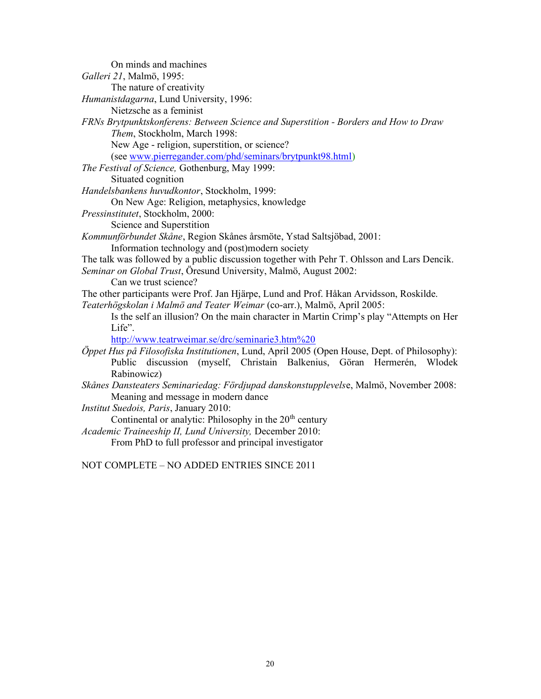| On minds and machines                                                                       |
|---------------------------------------------------------------------------------------------|
| Galleri 21, Malmö, 1995:                                                                    |
| The nature of creativity                                                                    |
| Humanistdagarna, Lund University, 1996:                                                     |
| Nietzsche as a feminist                                                                     |
| FRNs Brytpunktskonferens: Between Science and Superstition - Borders and How to Draw        |
| Them, Stockholm, March 1998:                                                                |
| New Age - religion, superstition, or science?                                               |
| (see www.pierregander.com/phd/seminars/brytpunkt98.html)                                    |
| The Festival of Science, Gothenburg, May 1999:                                              |
| Situated cognition                                                                          |
| Handelsbankens huvudkontor, Stockholm, 1999:                                                |
| On New Age: Religion, metaphysics, knowledge                                                |
| Pressinstitutet, Stockholm, 2000:                                                           |
| Science and Superstition                                                                    |
| Kommunförbundet Skåne, Region Skånes årsmöte, Ystad Saltsjöbad, 2001:                       |
| Information technology and (post)modern society                                             |
| The talk was followed by a public discussion together with Pehr T. Ohlsson and Lars Dencik. |
| Seminar on Global Trust, Öresund University, Malmö, August 2002:                            |
| Can we trust science?                                                                       |
| The other participants were Prof. Jan Hjärpe, Lund and Prof. Håkan Arvidsson, Roskilde.     |
| Teaterhögskolan i Malmö and Teater Weimar (co-arr.), Malmö, April 2005:                     |
| Is the self an illusion? On the main character in Martin Crimp's play "Attempts on Her      |
| Life".                                                                                      |
| http://www.teatrweimar.se/drc/seminarie3.htm%20                                             |
| Öppet Hus på Filosofiska Institutionen, Lund, April 2005 (Open House, Dept. of Philosophy): |
| discussion (myself, Christain Balkenius, Göran Hermerén,<br>Public<br>Wlodek                |
| Rabinowicz)                                                                                 |
| Skånes Dansteaters Seminariedag: Fördjupad danskonstupplevelse, Malmö, November 2008:       |
| Meaning and message in modern dance                                                         |
| Institut Suedois, Paris, January 2010:                                                      |
| Continental or analytic: Philosophy in the 20 <sup>th</sup> century                         |
| Academic Traineeship II, Lund University, December 2010:                                    |

From PhD to full professor and principal investigator

NOT COMPLETE – NO ADDED ENTRIES SINCE 2011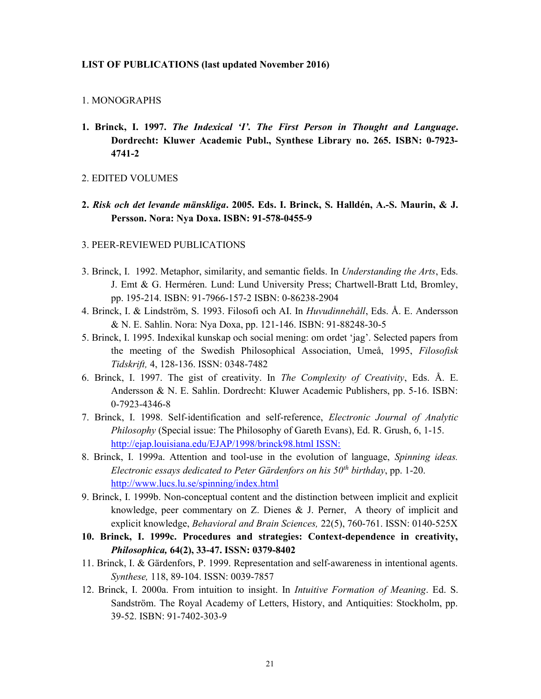### LIST OF PUBLICATIONS (last updated November 2016)

### 1. MONOGRAPHS

- 1. Brinck, I. 1997. The Indexical 'I'. The First Person in Thought and Language. Dordrecht: Kluwer Academic Publ., Synthese Library no. 265. ISBN: 0-7923- 4741-2
- 2. EDITED VOLUMES
- 2. Risk och det levande mänskliga. 2005. Eds. I. Brinck, S. Halldén, A.-S. Maurin, & J. Persson. Nora: Nya Doxa. ISBN: 91-578-0455-9

### 3. PEER-REVIEWED PUBLICATIONS

- 3. Brinck, I. 1992. Metaphor, similarity, and semantic fields. In Understanding the Arts, Eds. J. Emt & G. Herméren. Lund: Lund University Press; Chartwell-Bratt Ltd, Bromley, pp. 195-214. ISBN: 91-7966-157-2 ISBN: 0-86238-2904
- 4. Brinck, I. & Lindström, S. 1993. Filosofi och AI. In Huvudinnehåll, Eds. Å. E. Andersson & N. E. Sahlin. Nora: Nya Doxa, pp. 121-146. ISBN: 91-88248-30-5
- 5. Brinck, I. 1995. Indexikal kunskap och social mening: om ordet 'jag'. Selected papers from the meeting of the Swedish Philosophical Association, Umeå, 1995, Filosofisk Tidskrift, 4, 128-136. ISSN: 0348-7482
- 6. Brinck, I. 1997. The gist of creativity. In The Complexity of Creativity, Eds. Å. E. Andersson & N. E. Sahlin. Dordrecht: Kluwer Academic Publishers, pp. 5-16. ISBN: 0-7923-4346-8
- 7. Brinck, I. 1998. Self-identification and self-reference, Electronic Journal of Analytic Philosophy (Special issue: The Philosophy of Gareth Evans), Ed. R. Grush, 6, 1-15. http://ejap.louisiana.edu/EJAP/1998/brinck98.html ISSN:
- 8. Brinck, I. 1999a. Attention and tool-use in the evolution of language, Spinning ideas. Electronic essays dedicated to Peter Gärdenfors on his  $50<sup>th</sup>$  birthday, pp. 1-20. http://www.lucs.lu.se/spinning/index.html
- 9. Brinck, I. 1999b. Non-conceptual content and the distinction between implicit and explicit knowledge, peer commentary on Z. Dienes & J. Perner, A theory of implicit and explicit knowledge, Behavioral and Brain Sciences, 22(5), 760-761. ISSN: 0140-525X
- 10. Brinck, I. 1999c. Procedures and strategies: Context-dependence in creativity, Philosophica, 64(2), 33-47. ISSN: 0379-8402
- 11. Brinck, I. & Gärdenfors, P. 1999. Representation and self-awareness in intentional agents. Synthese, 118, 89-104. ISSN: 0039-7857
- 12. Brinck, I. 2000a. From intuition to insight. In Intuitive Formation of Meaning. Ed. S. Sandström. The Royal Academy of Letters, History, and Antiquities: Stockholm, pp. 39-52. ISBN: 91-7402-303-9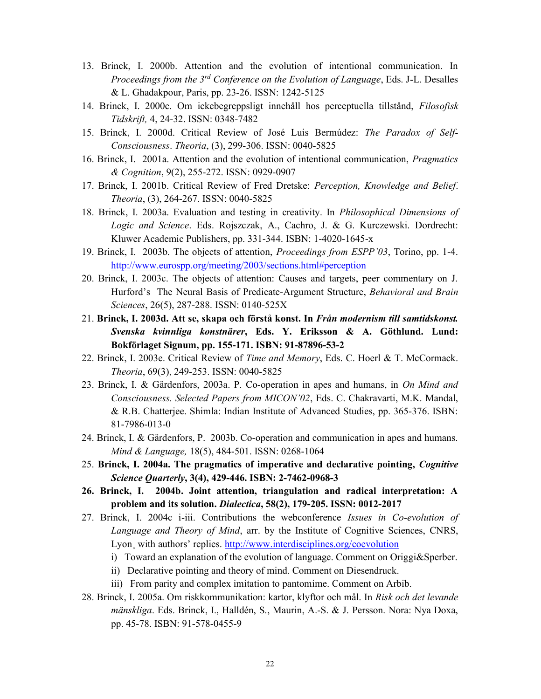- 13. Brinck, I. 2000b. Attention and the evolution of intentional communication. In Proceedings from the  $3^{rd}$  Conference on the Evolution of Language, Eds. J-L. Desalles & L. Ghadakpour, Paris, pp. 23-26. ISSN: 1242-5125
- 14. Brinck, I. 2000c. Om ickebegreppsligt innehåll hos perceptuella tillstånd, Filosofisk Tidskrift, 4, 24-32. ISSN: 0348-7482
- 15. Brinck, I. 2000d. Critical Review of José Luis Bermúdez: The Paradox of Self-Consciousness. Theoria, (3), 299-306. ISSN: 0040-5825
- 16. Brinck, I. 2001a. Attention and the evolution of intentional communication, Pragmatics & Cognition, 9(2), 255-272. ISSN: 0929-0907
- 17. Brinck, I. 2001b. Critical Review of Fred Dretske: Perception, Knowledge and Belief. Theoria, (3), 264-267. ISSN: 0040-5825
- 18. Brinck, I. 2003a. Evaluation and testing in creativity. In Philosophical Dimensions of Logic and Science. Eds. Rojszczak, A., Cachro, J. & G. Kurczewski. Dordrecht: Kluwer Academic Publishers, pp. 331-344. ISBN: 1-4020-1645-x
- 19. Brinck, I. 2003b. The objects of attention, Proceedings from ESPP'03, Torino, pp. 1-4. http://www.eurospp.org/meeting/2003/sections.html#perception
- 20. Brinck, I. 2003c. The objects of attention: Causes and targets, peer commentary on J. Hurford's The Neural Basis of Predicate-Argument Structure, Behavioral and Brain Sciences, 26(5), 287-288. ISSN: 0140-525X
- 21. Brinck, I. 2003d. Att se, skapa och förstå konst. In Från modernism till samtidskonst. Svenska kvinnliga konstnärer, Eds. Y. Eriksson & A. Göthlund. Lund: Bokförlaget Signum, pp. 155-171. ISBN: 91-87896-53-2
- 22. Brinck, I. 2003e. Critical Review of Time and Memory, Eds. C. Hoerl & T. McCormack. Theoria, 69(3), 249-253. ISSN: 0040-5825
- 23. Brinck, I. & Gärdenfors, 2003a. P. Co-operation in apes and humans, in On Mind and Consciousness. Selected Papers from MICON'02, Eds. C. Chakravarti, M.K. Mandal, & R.B. Chatterjee. Shimla: Indian Institute of Advanced Studies, pp. 365-376. ISBN: 81-7986-013-0
- 24. Brinck, I. & Gärdenfors, P. 2003b. Co-operation and communication in apes and humans. Mind & Language, 18(5), 484-501. ISSN: 0268-1064
- 25. Brinck, I. 2004a. The pragmatics of imperative and declarative pointing, Cognitive Science Quarterly, 3(4), 429-446. ISBN: 2-7462-0968-3
- 26. Brinck, I. 2004b. Joint attention, triangulation and radical interpretation: A problem and its solution. Dialectica, 58(2), 179-205. ISSN: 0012-2017
- 27. Brinck, I. 2004c i-iii. Contributions the webconference Issues in Co-evolution of Language and Theory of Mind, arr. by the Institute of Cognitive Sciences, CNRS, Lyon, with authors' replies. http://www.interdisciplines.org/coevolution
	- i) Toward an explanation of the evolution of language. Comment on Origgi&Sperber.
	- ii) Declarative pointing and theory of mind. Comment on Diesendruck.
	- iii) From parity and complex imitation to pantomime. Comment on Arbib.
- 28. Brinck, I. 2005a. Om riskkommunikation: kartor, klyftor och mål. In Risk och det levande mänskliga. Eds. Brinck, I., Halldén, S., Maurin, A.-S. & J. Persson. Nora: Nya Doxa, pp. 45-78. ISBN: 91-578-0455-9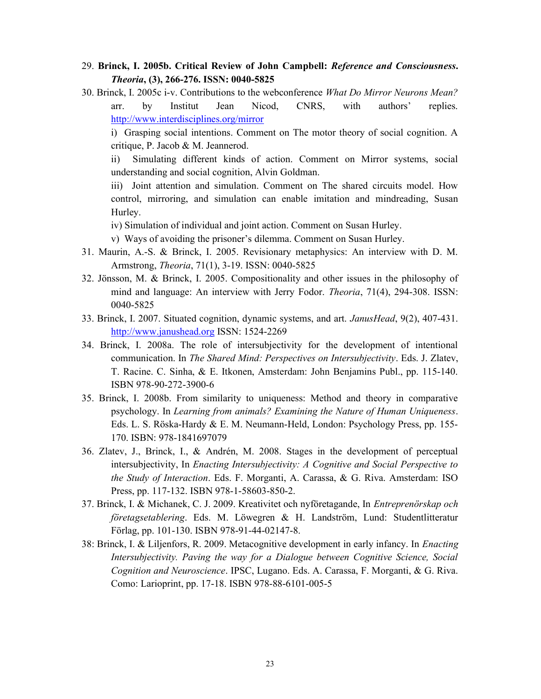# 29. Brinck, I. 2005b. Critical Review of John Campbell: Reference and Consciousness. Theoria, (3), 266-276. ISSN: 0040-5825

30. Brinck, I. 2005c i-v. Contributions to the webconference What Do Mirror Neurons Mean? arr. by Institut Jean Nicod, CNRS, with authors' replies. http://www.interdisciplines.org/mirror

i) Grasping social intentions. Comment on The motor theory of social cognition. A critique, P. Jacob & M. Jeannerod.

ii) Simulating different kinds of action. Comment on Mirror systems, social understanding and social cognition, Alvin Goldman.

iii) Joint attention and simulation. Comment on The shared circuits model. How control, mirroring, and simulation can enable imitation and mindreading, Susan Hurley.

iv) Simulation of individual and joint action. Comment on Susan Hurley.

v) Ways of avoiding the prisoner's dilemma. Comment on Susan Hurley.

- 31. Maurin, A.-S. & Brinck, I. 2005. Revisionary metaphysics: An interview with D. M. Armstrong, Theoria, 71(1), 3-19. ISSN: 0040-5825
- 32. Jönsson, M. & Brinck, I. 2005. Compositionality and other issues in the philosophy of mind and language: An interview with Jerry Fodor. Theoria, 71(4), 294-308. ISSN: 0040-5825
- 33. Brinck, I. 2007. Situated cognition, dynamic systems, and art. *JanusHead*, 9(2), 407-431. http://www.janushead.org ISSN: 1524-2269
- 34. Brinck, I. 2008a. The role of intersubjectivity for the development of intentional communication. In The Shared Mind: Perspectives on Intersubjectivity. Eds. J. Zlatev, T. Racine. C. Sinha, & E. Itkonen, Amsterdam: John Benjamins Publ., pp. 115-140. ISBN 978-90-272-3900-6
- 35. Brinck, I. 2008b. From similarity to uniqueness: Method and theory in comparative psychology. In Learning from animals? Examining the Nature of Human Uniqueness. Eds. L. S. Röska-Hardy & E. M. Neumann-Held, London: Psychology Press, pp. 155- 170. ISBN: 978-1841697079
- 36. Zlatev, J., Brinck, I., & Andrén, M. 2008. Stages in the development of perceptual intersubjectivity, In Enacting Intersubjectivity: A Cognitive and Social Perspective to the Study of Interaction. Eds. F. Morganti, A. Carassa, & G. Riva. Amsterdam: ISO Press, pp. 117-132. ISBN 978-1-58603-850-2.
- 37. Brinck, I. & Michanek, C. J. 2009. Kreativitet och nyföretagande, In Entreprenörskap och företagsetablering. Eds. M. Löwegren & H. Landström, Lund: Studentlitteratur Förlag, pp. 101-130. ISBN 978-91-44-02147-8.
- 38: Brinck, I. & Liljenfors, R. 2009. Metacognitive development in early infancy. In Enacting Intersubjectivity. Paving the way for a Dialogue between Cognitive Science, Social Cognition and Neuroscience. IPSC, Lugano. Eds. A. Carassa, F. Morganti, & G. Riva. Como: Larioprint, pp. 17-18. ISBN 978-88-6101-005-5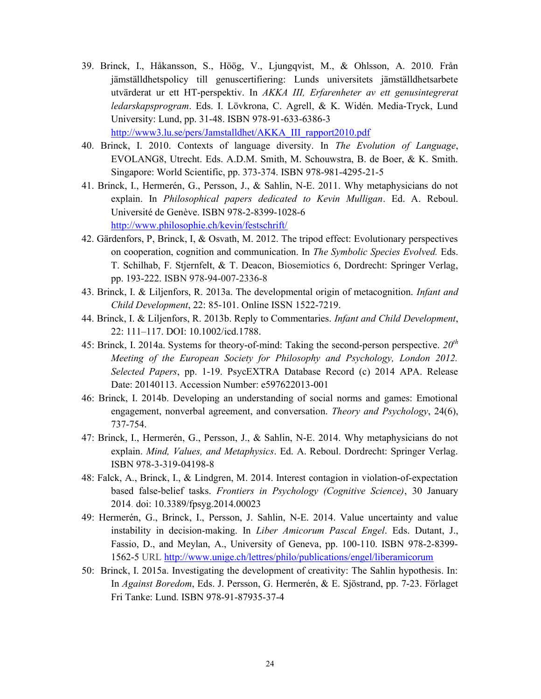- 39. Brinck, I., Håkansson, S., Höög, V., Ljungqvist, M., & Ohlsson, A. 2010. Från jämställdhetspolicy till genuscertifiering: Lunds universitets jämställdhetsarbete utvärderat ur ett HT-perspektiv. In AKKA III, Erfarenheter av ett genusintegrerat ledarskapsprogram. Eds. I. Lövkrona, C. Agrell, & K. Widén. Media-Tryck, Lund University: Lund, pp. 31-48. ISBN 978-91-633-6386-3 http://www3.lu.se/pers/Jamstalldhet/AKKA\_III\_rapport2010.pdf
- 40. Brinck, I. 2010. Contexts of language diversity. In The Evolution of Language, EVOLANG8, Utrecht. Eds. A.D.M. Smith, M. Schouwstra, B. de Boer, & K. Smith. Singapore: World Scientific, pp. 373-374. ISBN 978-981-4295-21-5
- 41. Brinck, I., Hermerén, G., Persson, J., & Sahlin, N-E. 2011. Why metaphysicians do not explain. In Philosophical papers dedicated to Kevin Mulligan. Ed. A. Reboul. Université de Genève. ISBN 978-2-8399-1028-6 http://www.philosophie.ch/kevin/festschrift/
- 42. Gärdenfors, P, Brinck, I, & Osvath, M. 2012. The tripod effect: Evolutionary perspectives on cooperation, cognition and communication. In The Symbolic Species Evolved. Eds. T. Schilhab, F. Stjernfelt, & T. Deacon, Biosemiotics 6, Dordrecht: Springer Verlag, pp. 193-222. ISBN 978-94-007-2336-8
- 43. Brinck, I. & Liljenfors, R. 2013a. The developmental origin of metacognition. Infant and Child Development, 22: 85-101. Online ISSN 1522-7219.
- 44. Brinck, I. & Liljenfors, R. 2013b. Reply to Commentaries. Infant and Child Development, 22: 111–117. DOI: 10.1002/icd.1788.
- 45: Brinck, I. 2014a. Systems for theory-of-mind: Taking the second-person perspective.  $20<sup>th</sup>$ Meeting of the European Society for Philosophy and Psychology, London 2012. Selected Papers, pp. 1-19. PsycEXTRA Database Record (c) 2014 APA. Release Date: 20140113. Accession Number: e597622013-001
- 46: Brinck, I. 2014b. Developing an understanding of social norms and games: Emotional engagement, nonverbal agreement, and conversation. Theory and Psychology, 24(6), 737-754.
- 47: Brinck, I., Hermerén, G., Persson, J., & Sahlin, N-E. 2014. Why metaphysicians do not explain. Mind, Values, and Metaphysics. Ed. A. Reboul. Dordrecht: Springer Verlag. ISBN 978-3-319-04198-8
- 48: Falck, A., Brinck, I., & Lindgren, M. 2014. Interest contagion in violation-of-expectation based false-belief tasks. Frontiers in Psychology (Cognitive Science), 30 January 2014. doi: 10.3389/fpsyg.2014.00023
- 49: Hermerén, G., Brinck, I., Persson, J. Sahlin, N-E. 2014. Value uncertainty and value instability in decision-making. In *Liber Amicorum Pascal Engel*. Eds. Dutant, J., Fassio, D., and Meylan, A., University of Geneva, pp. 100-110. ISBN 978-2-8399- 1562-5 URL http://www.unige.ch/lettres/philo/publications/engel/liberamicorum
- 50: Brinck, I. 2015a. Investigating the development of creativity: The Sahlin hypothesis. In: In Against Boredom, Eds. J. Persson, G. Hermerén, & E. Sjöstrand, pp. 7-23. Förlaget Fri Tanke: Lund. ISBN 978-91-87935-37-4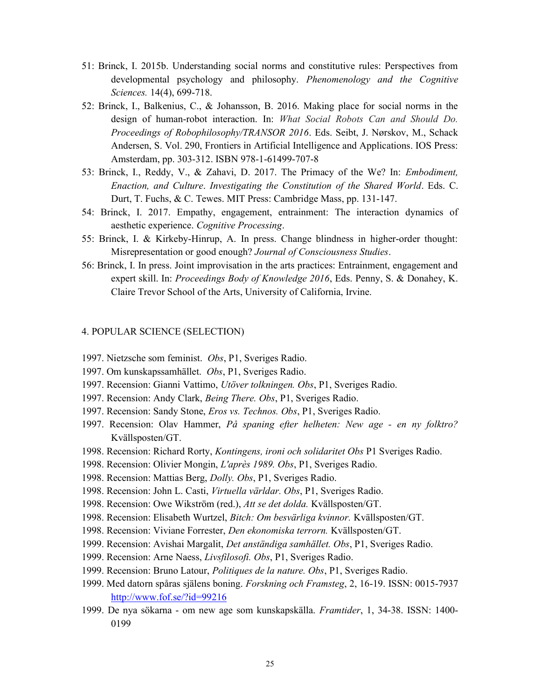- 51: Brinck, I. 2015b. Understanding social norms and constitutive rules: Perspectives from developmental psychology and philosophy. Phenomenology and the Cognitive Sciences. 14(4), 699-718.
- 52: Brinck, I., Balkenius, C., & Johansson, B. 2016. Making place for social norms in the design of human-robot interaction. In: What Social Robots Can and Should Do. Proceedings of Robophilosophy/TRANSOR 2016. Eds. Seibt, J. Nørskov, M., Schack Andersen, S. Vol. 290, Frontiers in Artificial Intelligence and Applications. IOS Press: Amsterdam, pp. 303-312. ISBN 978-1-61499-707-8
- 53: Brinck, I., Reddy, V., & Zahavi, D. 2017. The Primacy of the We? In: Embodiment, Enaction, and Culture. Investigating the Constitution of the Shared World. Eds. C. Durt, T. Fuchs, & C. Tewes. MIT Press: Cambridge Mass, pp. 131-147.
- 54: Brinck, I. 2017. Empathy, engagement, entrainment: The interaction dynamics of aesthetic experience. Cognitive Processing.
- 55: Brinck, I. & Kirkeby-Hinrup, A. In press. Change blindness in higher-order thought: Misrepresentation or good enough? Journal of Consciousness Studies.
- 56: Brinck, I. In press. Joint improvisation in the arts practices: Entrainment, engagement and expert skill. In: *Proceedings Body of Knowledge 2016*, Eds. Penny, S. & Donahey, K. Claire Trevor School of the Arts, University of California, Irvine.

### 4. POPULAR SCIENCE (SELECTION)

- 1997. Nietzsche som feminist. Obs, P1, Sveriges Radio.
- 1997. Om kunskapssamhället. Obs, P1, Sveriges Radio.
- 1997. Recension: Gianni Vattimo, Utöver tolkningen. Obs, P1, Sveriges Radio.
- 1997. Recension: Andy Clark, Being There. Obs, P1, Sveriges Radio.
- 1997. Recension: Sandy Stone, Eros vs. Technos. Obs, P1, Sveriges Radio.
- 1997. Recension: Olav Hammer, På spaning efter helheten: New age en ny folktro? Kvällsposten/GT.
- 1998. Recension: Richard Rorty, Kontingens, ironi och solidaritet Obs P1 Sveriges Radio.
- 1998. Recension: Olivier Mongin, L'après 1989. Obs, P1, Sveriges Radio.
- 1998. Recension: Mattias Berg, Dolly. Obs, P1, Sveriges Radio.
- 1998. Recension: John L. Casti, Virtuella världar. Obs, P1, Sveriges Radio.
- 1998. Recension: Owe Wikström (red.), Att se det dolda. Kvällsposten/GT.
- 1998. Recension: Elisabeth Wurtzel, Bitch: Om besvärliga kvinnor. Kvällsposten/GT.
- 1998. Recension: Viviane Forrester, Den ekonomiska terrorn. Kvällsposten/GT.
- 1999. Recension: Avishai Margalit, *Det anständiga samhället. Obs*, P1, Sveriges Radio.
- 1999. Recension: Arne Naess, Livsfilosofi. Obs, P1, Sveriges Radio.
- 1999. Recension: Bruno Latour, Politiques de la nature. Obs, P1, Sveriges Radio.
- 1999. Med datorn spåras själens boning. Forskning och Framsteg, 2, 16-19. ISSN: 0015-7937 http://www.fof.se/?id=99216
- 1999. De nya sökarna om new age som kunskapskälla. Framtider, 1, 34-38. ISSN: 1400- 0199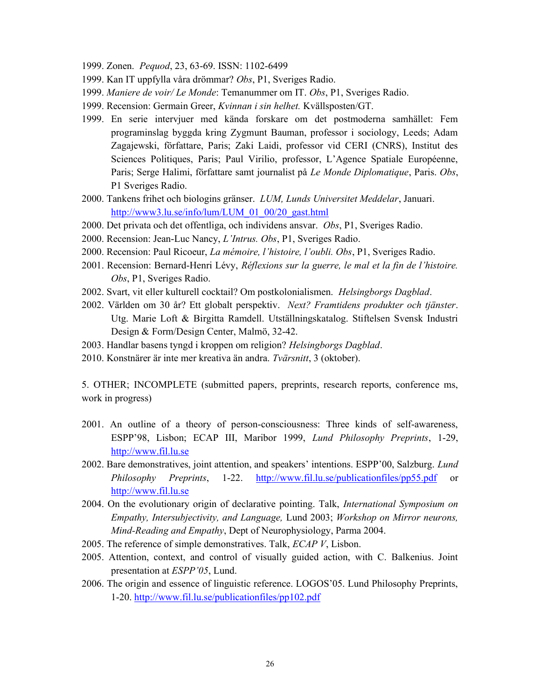1999. Zonen. Pequod, 23, 63-69. ISSN: 1102-6499

- 1999. Kan IT uppfylla våra drömmar? Obs, P1, Sveriges Radio.
- 1999. Maniere de voir/ Le Monde: Temanummer om IT. Obs, P1, Sveriges Radio.
- 1999. Recension: Germain Greer, Kvinnan i sin helhet. Kvällsposten/GT.
- 1999. En serie intervjuer med kända forskare om det postmoderna samhället: Fem programinslag byggda kring Zygmunt Bauman, professor i sociology, Leeds; Adam Zagajewski, författare, Paris; Zaki Laidi, professor vid CERI (CNRS), Institut des Sciences Politiques, Paris; Paul Virilio, professor, L'Agence Spatiale Européenne, Paris; Serge Halimi, författare samt journalist på Le Monde Diplomatique, Paris. Obs, P1 Sveriges Radio.
- 2000. Tankens frihet och biologins gränser. LUM, Lunds Universitet Meddelar, Januari. http://www3.lu.se/info/lum/LUM\_01\_00/20\_gast.html
- 2000. Det privata och det offentliga, och individens ansvar. Obs, P1, Sveriges Radio.
- 2000. Recension: Jean-Luc Nancy, L'Intrus. Obs, P1, Sveriges Radio.
- 2000. Recension: Paul Ricoeur, La mémoire, l'histoire, l'oubli. Obs, P1, Sveriges Radio.
- 2001. Recension: Bernard-Henri Lévy, Réflexions sur la guerre, le mal et la fin de l'histoire. Obs, P1, Sveriges Radio.
- 2002. Svart, vit eller kulturell cocktail? Om postkolonialismen. Helsingborgs Dagblad.
- 2002. Världen om 30 år? Ett globalt perspektiv. Next? Framtidens produkter och tjänster. Utg. Marie Loft & Birgitta Ramdell. Utställningskatalog. Stiftelsen Svensk Industri Design & Form/Design Center, Malmö, 32-42.
- 2003. Handlar basens tyngd i kroppen om religion? Helsingborgs Dagblad.
- 2010. Konstnärer är inte mer kreativa än andra. Tvärsnitt, 3 (oktober).

5. OTHER; INCOMPLETE (submitted papers, preprints, research reports, conference ms, work in progress)

- 2001. An outline of a theory of person-consciousness: Three kinds of self-awareness, ESPP'98, Lisbon; ECAP III, Maribor 1999, Lund Philosophy Preprints, 1-29, http://www.fil.lu.se
- 2002. Bare demonstratives, joint attention, and speakers' intentions. ESPP'00, Salzburg. Lund Philosophy Preprints, 1-22. http://www.fil.lu.se/publicationfiles/pp55.pdf or http://www.fil.lu.se
- 2004. On the evolutionary origin of declarative pointing. Talk, International Symposium on Empathy, Intersubjectivity, and Language, Lund 2003; Workshop on Mirror neurons, Mind-Reading and Empathy, Dept of Neurophysiology, Parma 2004.
- 2005. The reference of simple demonstratives. Talk, *ECAP V*, Lisbon.
- 2005. Attention, context, and control of visually guided action, with C. Balkenius. Joint presentation at ESPP'05, Lund.
- 2006. The origin and essence of linguistic reference. LOGOS'05. Lund Philosophy Preprints, 1-20. http://www.fil.lu.se/publicationfiles/pp102.pdf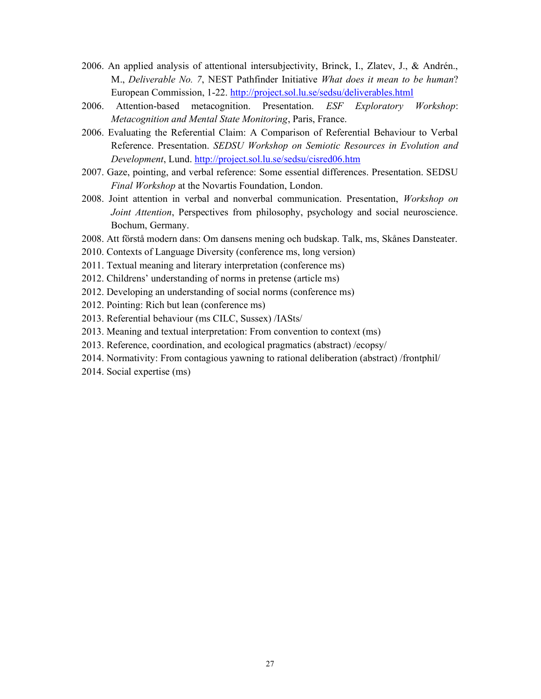- 2006. An applied analysis of attentional intersubjectivity, Brinck, I., Zlatev, J., & Andrén., M., Deliverable No. 7, NEST Pathfinder Initiative What does it mean to be human? European Commission, 1-22. http://project.sol.lu.se/sedsu/deliverables.html
- 2006. Attention-based metacognition. Presentation. ESF Exploratory Workshop: Metacognition and Mental State Monitoring, Paris, France.
- 2006. Evaluating the Referential Claim: A Comparison of Referential Behaviour to Verbal Reference. Presentation. SEDSU Workshop on Semiotic Resources in Evolution and Development, Lund. http://project.sol.lu.se/sedsu/cisred06.htm
- 2007. Gaze, pointing, and verbal reference: Some essential differences. Presentation. SEDSU Final Workshop at the Novartis Foundation, London.
- 2008. Joint attention in verbal and nonverbal communication. Presentation, Workshop on Joint Attention, Perspectives from philosophy, psychology and social neuroscience. Bochum, Germany.
- 2008. Att förstå modern dans: Om dansens mening och budskap. Talk, ms, Skånes Dansteater.
- 2010. Contexts of Language Diversity (conference ms, long version)
- 2011. Textual meaning and literary interpretation (conference ms)
- 2012. Childrens' understanding of norms in pretense (article ms)
- 2012. Developing an understanding of social norms (conference ms)
- 2012. Pointing: Rich but lean (conference ms)
- 2013. Referential behaviour (ms CILC, Sussex) /IASts/
- 2013. Meaning and textual interpretation: From convention to context (ms)
- 2013. Reference, coordination, and ecological pragmatics (abstract) /ecopsy/
- 2014. Normativity: From contagious yawning to rational deliberation (abstract) /frontphil/
- 2014. Social expertise (ms)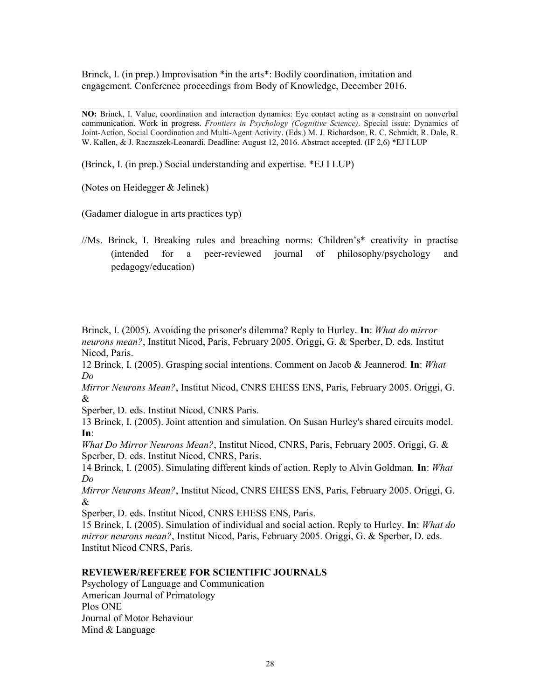Brinck, I. (in prep.) Improvisation \*in the arts \*: Bodily coordination, imitation and engagement. Conference proceedings from Body of Knowledge, December 2016.

NO: Brinck, I. Value, coordination and interaction dynamics: Eye contact acting as a constraint on nonverbal communication. Work in progress. Frontiers in Psychology (Cognitive Science). Special issue: Dynamics of Joint-Action, Social Coordination and Multi-Agent Activity. (Eds.) M. J. Richardson, R. C. Schmidt, R. Dale, R. W. Kallen, & J. Raczaszek-Leonardi. Deadline: August 12, 2016. Abstract accepted. (IF 2,6) \*EJ I LUP

(Brinck, I. (in prep.) Social understanding and expertise. \*EJ I LUP)

(Notes on Heidegger & Jelinek)

(Gadamer dialogue in arts practices typ)

//Ms. Brinck, I. Breaking rules and breaching norms: Children's\* creativity in practise (intended for a peer-reviewed journal of philosophy/psychology and pedagogy/education)

Brinck, I. (2005). Avoiding the prisoner's dilemma? Reply to Hurley. **In**: *What do mirror* neurons mean?, Institut Nicod, Paris, February 2005. Origgi, G. & Sperber, D. eds. Institut Nicod, Paris.

12 Brinck, I. (2005). Grasping social intentions. Comment on Jacob & Jeannerod. In: What Do

Mirror Neurons Mean?, Institut Nicod, CNRS EHESS ENS, Paris, February 2005. Origgi, G. &

Sperber, D. eds. Institut Nicod, CNRS Paris.

13 Brinck, I. (2005). Joint attention and simulation. On Susan Hurley's shared circuits model. In:

What Do Mirror Neurons Mean?, Institut Nicod, CNRS, Paris, February 2005. Origgi, G. & Sperber, D. eds. Institut Nicod, CNRS, Paris.

14 Brinck, I. (2005). Simulating different kinds of action. Reply to Alvin Goldman. In: What Do

Mirror Neurons Mean?, Institut Nicod, CNRS EHESS ENS, Paris, February 2005. Origgi, G. &

Sperber, D. eds. Institut Nicod, CNRS EHESS ENS, Paris.

15 Brinck, I. (2005). Simulation of individual and social action. Reply to Hurley. In: What do mirror neurons mean?, Institut Nicod, Paris, February 2005. Origgi, G. & Sperber, D. eds. Institut Nicod CNRS, Paris.

## REVIEWER/REFEREE FOR SCIENTIFIC JOURNALS

Psychology of Language and Communication American Journal of Primatology Plos ONE Journal of Motor Behaviour Mind & Language